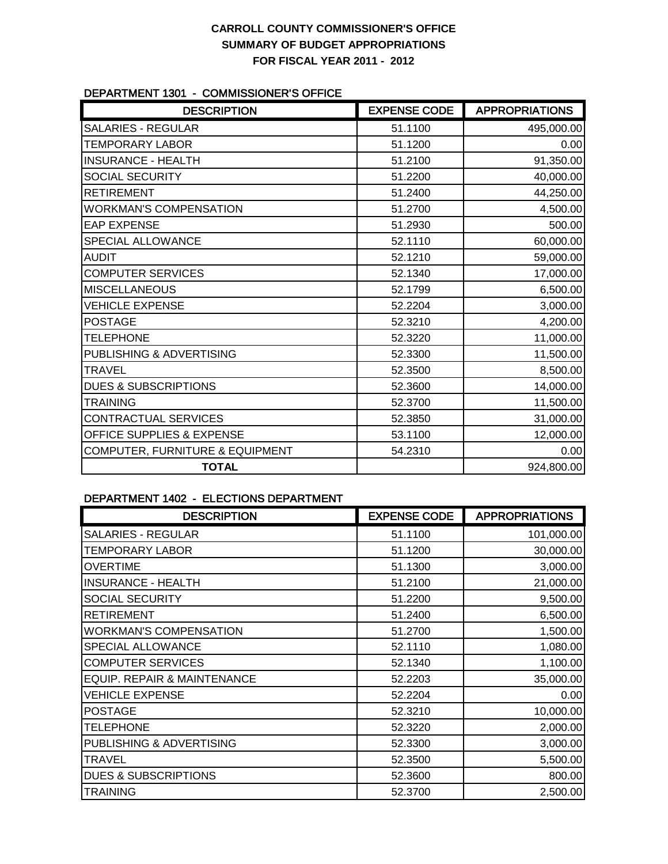### **CARROLL COUNTY COMMISSIONER'S OFFICE SUMMARY OF BUDGET APPROPRIATIONS FOR FISCAL YEAR 2011 - 2012**

#### DEPARTMENT 1301 - COMMISSIONER'S OFFICE

| <b>DESCRIPTION</b>              | <b>EXPENSE CODE</b> | <b>APPROPRIATIONS</b> |
|---------------------------------|---------------------|-----------------------|
| <b>SALARIES - REGULAR</b>       | 51.1100             | 495,000.00            |
| <b>TEMPORARY LABOR</b>          | 51.1200             | 0.00                  |
| <b>INSURANCE - HEALTH</b>       | 51.2100             | 91,350.00             |
| SOCIAL SECURITY                 | 51.2200             | 40,000.00             |
| <b>RETIREMENT</b>               | 51.2400             | 44,250.00             |
| <b>WORKMAN'S COMPENSATION</b>   | 51.2700             | 4,500.00              |
| <b>EAP EXPENSE</b>              | 51.2930             | 500.00                |
| SPECIAL ALLOWANCE               | 52.1110             | 60,000.00             |
| <b>AUDIT</b>                    | 52.1210             | 59,000.00             |
| <b>COMPUTER SERVICES</b>        | 52.1340             | 17,000.00             |
| <b>MISCELLANEOUS</b>            | 52.1799             | 6,500.00              |
| <b>VEHICLE EXPENSE</b>          | 52.2204             | 3,000.00              |
| <b>POSTAGE</b>                  | 52.3210             | 4,200.00              |
| <b>TELEPHONE</b>                | 52.3220             | 11,000.00             |
| PUBLISHING & ADVERTISING        | 52.3300             | 11,500.00             |
| <b>TRAVEL</b>                   | 52.3500             | 8,500.00              |
| <b>DUES &amp; SUBSCRIPTIONS</b> | 52.3600             | 14,000.00             |
| <b>TRAINING</b>                 | 52.3700             | 11,500.00             |
| CONTRACTUAL SERVICES            | 52.3850             | 31,000.00             |
| OFFICE SUPPLIES & EXPENSE       | 53.1100             | 12,000.00             |
| COMPUTER, FURNITURE & EQUIPMENT | 54.2310             | 0.00                  |
| <b>TOTAL</b>                    |                     | 924,800.00            |

### DEPARTMENT 1402 - ELECTIONS DEPARTMENT

| <b>DESCRIPTION</b>              | <b>EXPENSE CODE</b> | <b>APPROPRIATIONS</b> |
|---------------------------------|---------------------|-----------------------|
| <b>SALARIES - REGULAR</b>       | 51.1100             | 101,000.00            |
| <b>TEMPORARY LABOR</b>          | 51.1200             | 30,000.00             |
| <b>OVERTIME</b>                 | 51.1300             | 3,000.00              |
| <b>INSURANCE - HEALTH</b>       | 51.2100             | 21,000.00             |
| SOCIAL SECURITY                 | 51.2200             | 9,500.00              |
| <b>RETIREMENT</b>               | 51.2400             | 6,500.00              |
| <b>WORKMAN'S COMPENSATION</b>   | 51.2700             | 1,500.00              |
| SPECIAL ALLOWANCE               | 52.1110             | 1,080.00              |
| <b>COMPUTER SERVICES</b>        | 52.1340             | 1,100.00              |
| EQUIP. REPAIR & MAINTENANCE     | 52.2203             | 35,000.00             |
| <b>VEHICLE EXPENSE</b>          | 52.2204             | 0.00                  |
| <b>POSTAGE</b>                  | 52.3210             | 10,000.00             |
| <b>TELEPHONE</b>                | 52.3220             | 2,000.00              |
| PUBLISHING & ADVERTISING        | 52.3300             | 3,000.00              |
| <b>TRAVEL</b>                   | 52.3500             | 5,500.00              |
| <b>DUES &amp; SUBSCRIPTIONS</b> | 52.3600             | 800.00                |
| <b>TRAINING</b>                 | 52.3700             | 2,500.00              |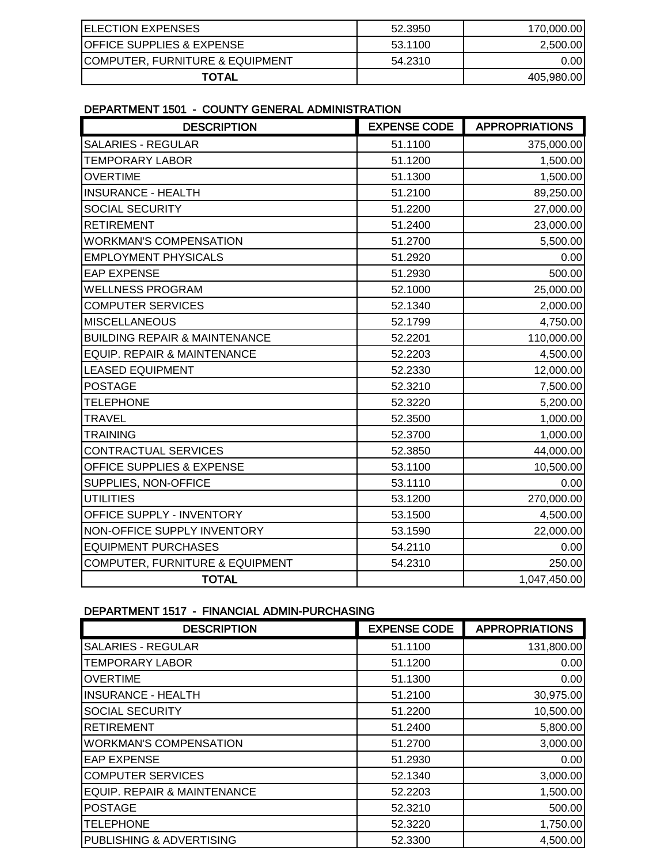| <b>ELECTION EXPENSES</b>             | 52.3950 | 170,000.00 |
|--------------------------------------|---------|------------|
| <b>OFFICE SUPPLIES &amp; EXPENSE</b> | 53.1100 | 2,500.00   |
| COMPUTER, FURNITURE & EQUIPMENT      | 54.2310 | 0.00I      |
| TOTAL                                |         | 405,980.00 |

#### DEPARTMENT 1501 - COUNTY GENERAL ADMINISTRATION

| <b>DESCRIPTION</b>                       | <b>EXPENSE CODE</b> | <b>APPROPRIATIONS</b> |
|------------------------------------------|---------------------|-----------------------|
| <b>SALARIES - REGULAR</b>                | 51.1100             | 375,000.00            |
| <b>TEMPORARY LABOR</b>                   | 51.1200             | 1,500.00              |
| <b>OVERTIME</b>                          | 51.1300             | 1,500.00              |
| <b>INSURANCE - HEALTH</b>                | 51.2100             | 89,250.00             |
| <b>SOCIAL SECURITY</b>                   | 51.2200             | 27,000.00             |
| <b>RETIREMENT</b>                        | 51.2400             | 23,000.00             |
| <b>WORKMAN'S COMPENSATION</b>            | 51.2700             | 5,500.00              |
| <b>EMPLOYMENT PHYSICALS</b>              | 51.2920             | 0.00                  |
| <b>EAP EXPENSE</b>                       | 51.2930             | 500.00                |
| <b>WELLNESS PROGRAM</b>                  | 52.1000             | 25,000.00             |
| <b>COMPUTER SERVICES</b>                 | 52.1340             | 2,000.00              |
| <b>MISCELLANEOUS</b>                     | 52.1799             | 4,750.00              |
| <b>BUILDING REPAIR &amp; MAINTENANCE</b> | 52.2201             | 110,000.00            |
| <b>EQUIP. REPAIR &amp; MAINTENANCE</b>   | 52.2203             | 4,500.00              |
| <b>LEASED EQUIPMENT</b>                  | 52.2330             | 12,000.00             |
| <b>POSTAGE</b>                           | 52.3210             | 7,500.00              |
| <b>TELEPHONE</b>                         | 52.3220             | 5,200.00              |
| <b>TRAVEL</b>                            | 52.3500             | 1,000.00              |
| <b>TRAINING</b>                          | 52.3700             | 1,000.00              |
| CONTRACTUAL SERVICES                     | 52.3850             | 44,000.00             |
| OFFICE SUPPLIES & EXPENSE                | 53.1100             | 10,500.00             |
| SUPPLIES, NON-OFFICE                     | 53.1110             | 0.00                  |
| <b>UTILITIES</b>                         | 53.1200             | 270,000.00            |
| OFFICE SUPPLY - INVENTORY                | 53.1500             | 4,500.00              |
| NON-OFFICE SUPPLY INVENTORY              | 53.1590             | 22,000.00             |
| <b>EQUIPMENT PURCHASES</b>               | 54.2110             | 0.00                  |
| COMPUTER, FURNITURE & EQUIPMENT          | 54.2310             | 250.00                |
| <b>TOTAL</b>                             |                     | 1,047,450.00          |

#### DEPARTMENT 1517 - FINANCIAL ADMIN-PURCHASING

| <b>DESCRIPTION</b>            | <b>EXPENSE CODE</b> | <b>APPROPRIATIONS</b> |
|-------------------------------|---------------------|-----------------------|
| <b>SALARIES - REGULAR</b>     | 51.1100             | 131,800.00            |
| <b>TEMPORARY LABOR</b>        | 51.1200             | 0.00                  |
| <b>OVERTIME</b>               | 51.1300             | 0.00                  |
| <b>INSURANCE - HEALTH</b>     | 51.2100             | 30,975.00             |
| <b>SOCIAL SECURITY</b>        | 51.2200             | 10,500.00             |
| <b>RETIREMENT</b>             | 51.2400             | 5,800.00              |
| <b>WORKMAN'S COMPENSATION</b> | 51.2700             | 3,000.00              |
| <b>EAP EXPENSE</b>            | 51.2930             | 0.00                  |
| <b>COMPUTER SERVICES</b>      | 52.1340             | 3,000.00              |
| EQUIP. REPAIR & MAINTENANCE   | 52.2203             | 1,500.00              |
| <b>POSTAGE</b>                | 52.3210             | 500.00                |
| <b>TELEPHONE</b>              | 52.3220             | 1,750.00              |
| PUBLISHING & ADVERTISING      | 52.3300             | 4,500.00              |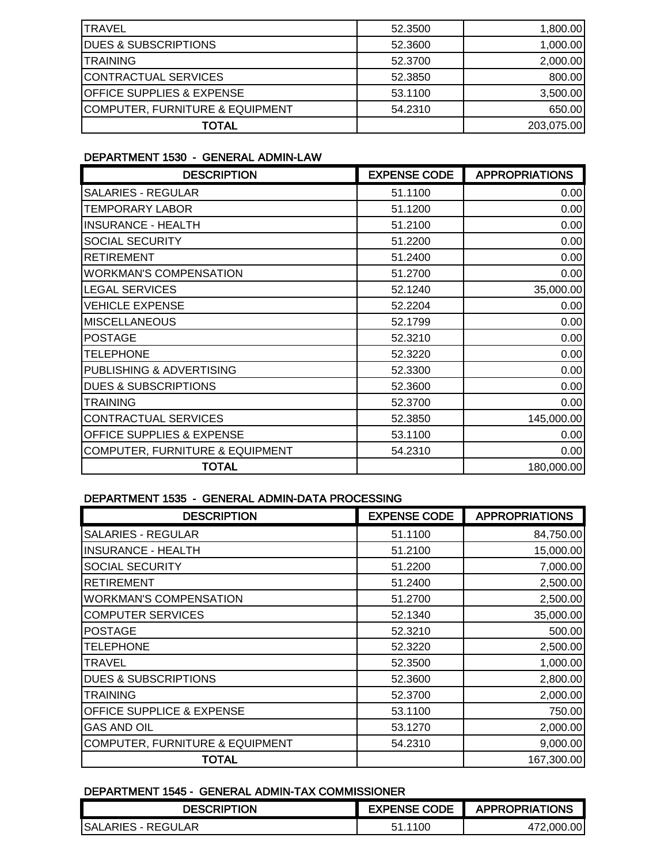| <b>TRAVEL</b>                        | 52,3500 | 1,800.00   |
|--------------------------------------|---------|------------|
| <b>DUES &amp; SUBSCRIPTIONS</b>      | 52,3600 | 1,000.00   |
| <b>TRAINING</b>                      | 52.3700 | 2,000.00   |
| CONTRACTUAL SERVICES                 | 52.3850 | 800.00     |
| <b>OFFICE SUPPLIES &amp; EXPENSE</b> | 53.1100 | 3,500.00   |
| COMPUTER, FURNITURE & EQUIPMENT      | 54.2310 | 650.00     |
| <b>TOTAL</b>                         |         | 203,075.00 |

#### DEPARTMENT 1530 - GENERAL ADMIN-LAW

| <b>DESCRIPTION</b>                         | <b>EXPENSE CODE</b> | <b>APPROPRIATIONS</b> |
|--------------------------------------------|---------------------|-----------------------|
| <b>SALARIES - REGULAR</b>                  | 51.1100             | 0.00                  |
| <b>TEMPORARY LABOR</b>                     | 51.1200             | 0.00                  |
| <b>INSURANCE - HEALTH</b>                  | 51.2100             | 0.00                  |
| <b>SOCIAL SECURITY</b>                     | 51.2200             | 0.00                  |
| <b>RETIREMENT</b>                          | 51.2400             | 0.00                  |
| <b>WORKMAN'S COMPENSATION</b>              | 51.2700             | 0.00                  |
| <b>LEGAL SERVICES</b>                      | 52.1240             | 35,000.00             |
| <b>VEHICLE EXPENSE</b>                     | 52.2204             | 0.00                  |
| <b>MISCELLANEOUS</b>                       | 52.1799             | 0.00                  |
| <b>POSTAGE</b>                             | 52.3210             | 0.00                  |
| <b>TELEPHONE</b>                           | 52.3220             | 0.00                  |
| PUBLISHING & ADVERTISING                   | 52.3300             | 0.00                  |
| <b>DUES &amp; SUBSCRIPTIONS</b>            | 52.3600             | 0.00                  |
| <b>TRAINING</b>                            | 52,3700             | 0.00                  |
| <b>CONTRACTUAL SERVICES</b>                | 52.3850             | 145,000.00            |
| <b>OFFICE SUPPLIES &amp; EXPENSE</b>       | 53.1100             | 0.00                  |
| <b>COMPUTER, FURNITURE &amp; EQUIPMENT</b> | 54.2310             | 0.00                  |
| TOTAL                                      |                     | 180,000.00            |

### DEPARTMENT 1535 - GENERAL ADMIN-DATA PROCESSING

| <b>DESCRIPTION</b>                         | <b>EXPENSE CODE</b> | <b>APPROPRIATIONS</b> |
|--------------------------------------------|---------------------|-----------------------|
| <b>SALARIES - REGULAR</b>                  | 51.1100             | 84,750.00             |
| <b>INSURANCE - HEALTH</b>                  | 51.2100             | 15,000.00             |
| <b>SOCIAL SECURITY</b>                     | 51.2200             | 7,000.00              |
| <b>RETIREMENT</b>                          | 51.2400             | 2,500.00              |
| <b>WORKMAN'S COMPENSATION</b>              | 51.2700             | 2,500.00              |
| <b>COMPUTER SERVICES</b>                   | 52.1340             | 35,000.00             |
| <b>POSTAGE</b>                             | 52,3210             | 500.00                |
| <b>TELEPHONE</b>                           | 52.3220             | 2,500.00              |
| TRAVEL                                     | 52.3500             | 1,000.00              |
| <b>DUES &amp; SUBSCRIPTIONS</b>            | 52,3600             | 2,800.00              |
| <b>TRAINING</b>                            | 52,3700             | 2,000.00              |
| <b>OFFICE SUPPLICE &amp; EXPENSE</b>       | 53.1100             | 750.00                |
| <b>GAS AND OIL</b>                         | 53.1270             | 2,000.00              |
| <b>COMPUTER, FURNITURE &amp; EQUIPMENT</b> | 54.2310             | 9,000.00              |
| TOTAL                                      |                     | 167,300.00            |

### DEPARTMENT 1545 - GENERAL ADMIN-TAX COMMISSIONER

| DESCRIPTION                | <b>EXPENSE CODE</b> | <b>APPROPRIATIONS</b> |
|----------------------------|---------------------|-----------------------|
| <b>ISALARIES - REGULAR</b> | .1100               | .00<br>472.000.       |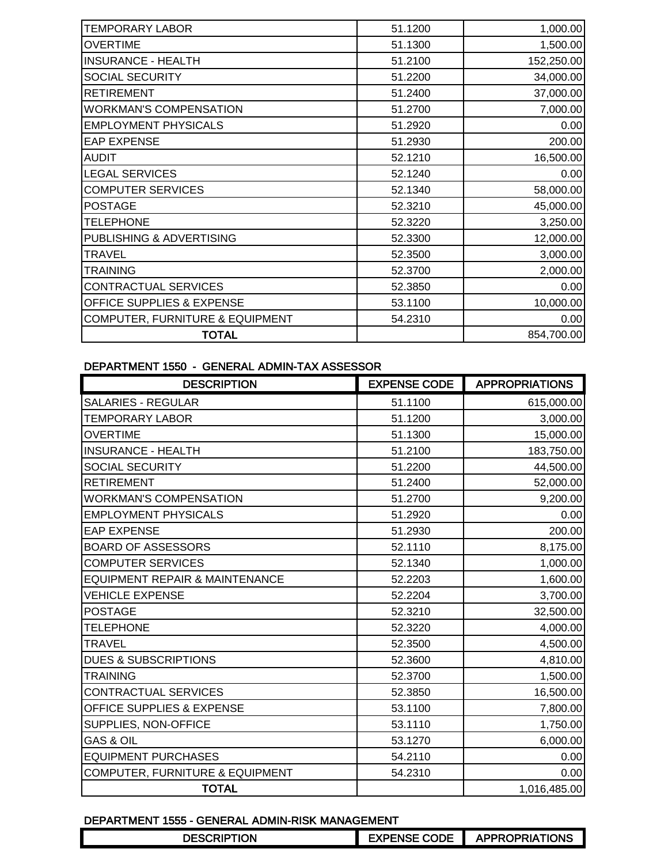| <b>TEMPORARY LABOR</b>                     | 51.1200 | 1,000.00   |
|--------------------------------------------|---------|------------|
| <b>OVERTIME</b>                            | 51.1300 | 1,500.00   |
| <b>INSURANCE - HEALTH</b>                  | 51.2100 | 152,250.00 |
| SOCIAL SECURITY                            | 51.2200 | 34,000.00  |
| <b>RETIREMENT</b>                          | 51.2400 | 37,000.00  |
| <b>WORKMAN'S COMPENSATION</b>              | 51.2700 | 7,000.00   |
| <b>EMPLOYMENT PHYSICALS</b>                | 51.2920 | 0.00       |
| <b>EAP EXPENSE</b>                         | 51.2930 | 200.00     |
| <b>AUDIT</b>                               | 52.1210 | 16,500.00  |
| <b>LEGAL SERVICES</b>                      | 52.1240 | 0.00       |
| <b>COMPUTER SERVICES</b>                   | 52.1340 | 58,000.00  |
| <b>POSTAGE</b>                             | 52.3210 | 45,000.00  |
| <b>TELEPHONE</b>                           | 52.3220 | 3,250.00   |
| PUBLISHING & ADVERTISING                   | 52.3300 | 12,000.00  |
| <b>TRAVEL</b>                              | 52.3500 | 3,000.00   |
| <b>TRAINING</b>                            | 52.3700 | 2,000.00   |
| CONTRACTUAL SERVICES                       | 52.3850 | 0.00       |
| OFFICE SUPPLIES & EXPENSE                  | 53.1100 | 10,000.00  |
| <b>COMPUTER, FURNITURE &amp; EQUIPMENT</b> | 54.2310 | 0.00       |
| <b>TOTAL</b>                               |         | 854,700.00 |
|                                            |         |            |

### DEPARTMENT 1550 - GENERAL ADMIN-TAX ASSESSOR

| <b>DESCRIPTION</b>                        | <b>EXPENSE CODE</b> | <b>APPROPRIATIONS</b> |
|-------------------------------------------|---------------------|-----------------------|
| <b>SALARIES - REGULAR</b>                 | 51.1100             | 615,000.00            |
| <b>TEMPORARY LABOR</b>                    | 51.1200             | 3,000.00              |
| <b>OVERTIME</b>                           | 51.1300             | 15,000.00             |
| <b>INSURANCE - HEALTH</b>                 | 51.2100             | 183,750.00            |
| SOCIAL SECURITY                           | 51.2200             | 44,500.00             |
| <b>RETIREMENT</b>                         | 51.2400             | 52,000.00             |
| <b>WORKMAN'S COMPENSATION</b>             | 51.2700             | 9,200.00              |
| <b>EMPLOYMENT PHYSICALS</b>               | 51.2920             | 0.00                  |
| <b>EAP EXPENSE</b>                        | 51.2930             | 200.00                |
| <b>BOARD OF ASSESSORS</b>                 | 52.1110             | 8,175.00              |
| <b>COMPUTER SERVICES</b>                  | 52.1340             | 1,000.00              |
| <b>EQUIPMENT REPAIR &amp; MAINTENANCE</b> | 52.2203             | 1,600.00              |
| <b>VEHICLE EXPENSE</b>                    | 52.2204             | 3,700.00              |
| <b>POSTAGE</b>                            | 52.3210             | 32,500.00             |
| <b>TELEPHONE</b>                          | 52.3220             | 4,000.00              |
| <b>TRAVEL</b>                             | 52.3500             | 4,500.00              |
| <b>DUES &amp; SUBSCRIPTIONS</b>           | 52.3600             | 4,810.00              |
| <b>TRAINING</b>                           | 52.3700             | 1,500.00              |
| CONTRACTUAL SERVICES                      | 52.3850             | 16,500.00             |
| <b>OFFICE SUPPLIES &amp; EXPENSE</b>      | 53.1100             | 7,800.00              |
| SUPPLIES, NON-OFFICE                      | 53.1110             | 1,750.00              |
| <b>GAS &amp; OIL</b>                      | 53.1270             | 6,000.00              |
| <b>EQUIPMENT PURCHASES</b>                | 54.2110             | 0.00                  |
| COMPUTER, FURNITURE & EQUIPMENT           | 54.2310             | 0.00                  |
| <b>TOTAL</b>                              |                     | 1,016,485.00          |

### DEPARTMENT 1555 - GENERAL ADMIN-RISK MANAGEMENT

| SCRIPTION<br><b>DESC</b> | <b>CODE</b> | TIONS<br><b>DRIA</b><br>ΤK<br><b>ADDD</b> |
|--------------------------|-------------|-------------------------------------------|
|                          |             |                                           |
|                          |             |                                           |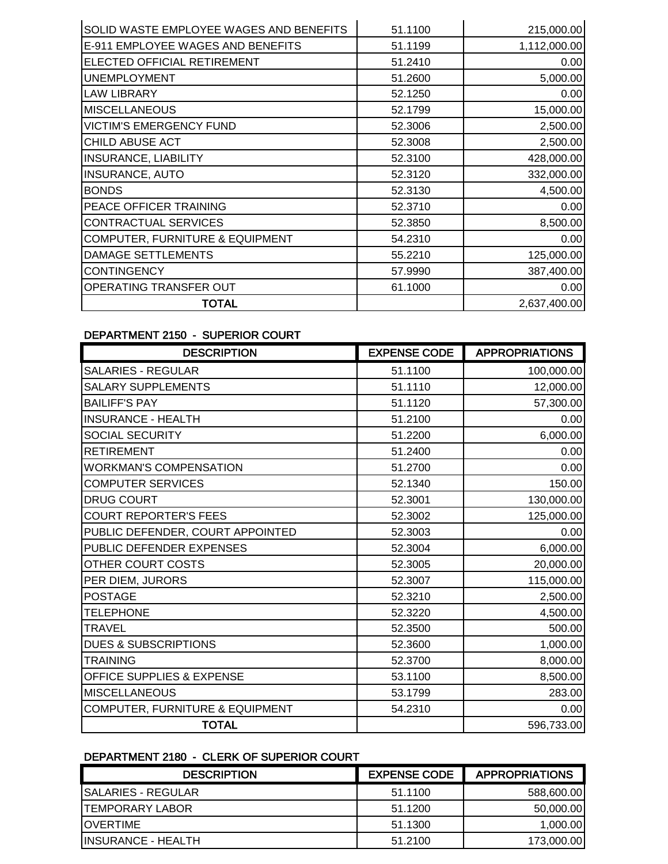| SOLID WASTE EMPLOYEE WAGES AND BENEFITS    | 51.1100 | 215,000.00   |
|--------------------------------------------|---------|--------------|
| E-911 EMPLOYEE WAGES AND BENEFITS          | 51.1199 | 1,112,000.00 |
| ELECTED OFFICIAL RETIREMENT                | 51.2410 | 0.00         |
| <b>UNEMPLOYMENT</b>                        | 51.2600 | 5,000.00     |
| <b>LAW LIBRARY</b>                         | 52.1250 | 0.00         |
| <b>MISCELLANEOUS</b>                       | 52.1799 | 15,000.00    |
| <b>VICTIM'S EMERGENCY FUND</b>             | 52.3006 | 2,500.00     |
| CHILD ABUSE ACT                            | 52.3008 | 2,500.00     |
| <b>INSURANCE, LIABILITY</b>                | 52,3100 | 428,000.00   |
| <b>INSURANCE, AUTO</b>                     | 52.3120 | 332,000.00   |
| <b>BONDS</b>                               | 52.3130 | 4,500.00     |
| PEACE OFFICER TRAINING                     | 52.3710 | 0.00         |
| CONTRACTUAL SERVICES                       | 52.3850 | 8,500.00     |
| <b>COMPUTER, FURNITURE &amp; EQUIPMENT</b> | 54.2310 | 0.00         |
| <b>DAMAGE SETTLEMENTS</b>                  | 55.2210 | 125,000.00   |
| <b>CONTINGENCY</b>                         | 57.9990 | 387,400.00   |
| OPERATING TRANSFER OUT                     | 61.1000 | 0.00         |
| <b>TOTAL</b>                               |         | 2,637,400.00 |

# DEPARTMENT 2150 - SUPERIOR COURT

| <b>DESCRIPTION</b>               | <b>EXPENSE CODE</b> | <b>APPROPRIATIONS</b> |
|----------------------------------|---------------------|-----------------------|
| SALARIES - REGULAR               | 51.1100             | 100,000.00            |
| <b>SALARY SUPPLEMENTS</b>        | 51.1110             | 12,000.00             |
| <b>BAILIFF'S PAY</b>             | 51.1120             | 57,300.00             |
| <b>INSURANCE - HEALTH</b>        | 51.2100             | 0.00                  |
| <b>SOCIAL SECURITY</b>           | 51.2200             | 6,000.00              |
| <b>RETIREMENT</b>                | 51.2400             | 0.00                  |
| <b>WORKMAN'S COMPENSATION</b>    | 51.2700             | 0.00                  |
| <b>COMPUTER SERVICES</b>         | 52.1340             | 150.00                |
| <b>DRUG COURT</b>                | 52.3001             | 130,000.00            |
| <b>COURT REPORTER'S FEES</b>     | 52.3002             | 125,000.00            |
| PUBLIC DEFENDER, COURT APPOINTED | 52.3003             | 0.00                  |
| PUBLIC DEFENDER EXPENSES         | 52.3004             | 6,000.00              |
| OTHER COURT COSTS                | 52.3005             | 20,000.00             |
| PER DIEM, JURORS                 | 52.3007             | 115,000.00            |
| <b>POSTAGE</b>                   | 52.3210             | 2,500.00              |
| <b>TELEPHONE</b>                 | 52.3220             | 4,500.00              |
| <b>TRAVEL</b>                    | 52.3500             | 500.00                |
| <b>DUES &amp; SUBSCRIPTIONS</b>  | 52.3600             | 1,000.00              |
| <b>TRAINING</b>                  | 52.3700             | 8,000.00              |
| OFFICE SUPPLIES & EXPENSE        | 53.1100             | 8,500.00              |
| <b>MISCELLANEOUS</b>             | 53.1799             | 283.00                |
| COMPUTER, FURNITURE & EQUIPMENT  | 54.2310             | 0.00                  |
| <b>TOTAL</b>                     |                     | 596,733.00            |

### DEPARTMENT 2180 - CLERK OF SUPERIOR COURT

| <b>DESCRIPTION</b>     | <b>EXPENSE CODE</b> | <b>APPROPRIATIONS</b> |
|------------------------|---------------------|-----------------------|
| ISALARIES - REGULAR    | 51.1100             | 588,600.00            |
| <b>TEMPORARY LABOR</b> | 51.1200             | 50,000.00             |
| <b>IOVERTIME</b>       | 51.1300             | 1.000.00              |
| IINSURANCE - HEALTH    | 51.2100             | 173,000.00            |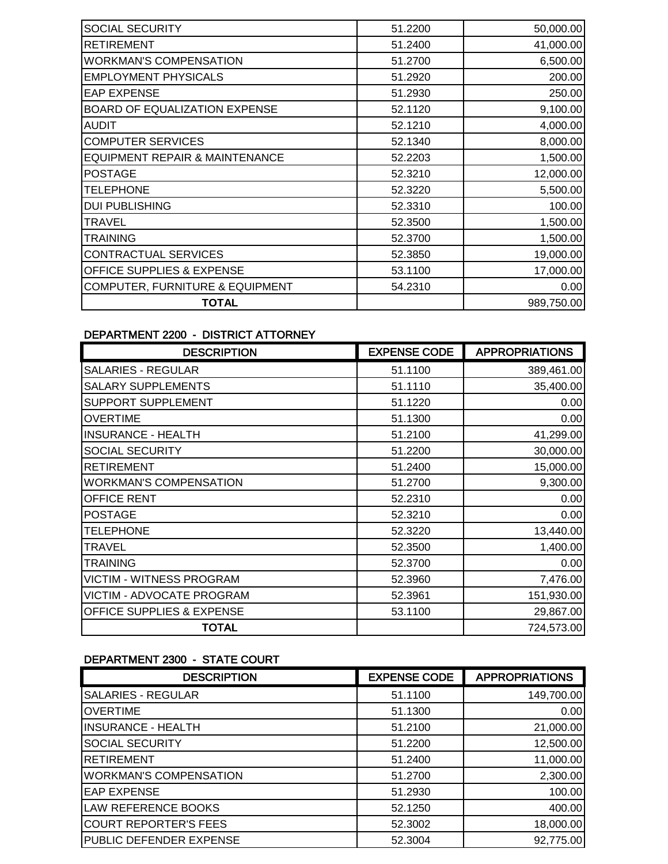| <b>SOCIAL SECURITY</b>                     | 51.2200 | 50,000.00  |
|--------------------------------------------|---------|------------|
| <b>RETIREMENT</b>                          | 51.2400 | 41,000.00  |
| <b>WORKMAN'S COMPENSATION</b>              | 51.2700 | 6,500.00   |
| <b>EMPLOYMENT PHYSICALS</b>                | 51.2920 | 200.00     |
| <b>EAP EXPENSE</b>                         | 51.2930 | 250.00     |
| BOARD OF EQUALIZATION EXPENSE              | 52.1120 | 9,100.00   |
| <b>AUDIT</b>                               | 52.1210 | 4,000.00   |
| <b>COMPUTER SERVICES</b>                   | 52.1340 | 8,000.00   |
| EQUIPMENT REPAIR & MAINTENANCE             | 52.2203 | 1,500.00   |
| <b>POSTAGE</b>                             | 52.3210 | 12,000.00  |
| <b>TELEPHONE</b>                           | 52.3220 | 5,500.00   |
| <b>DUI PUBLISHING</b>                      | 52.3310 | 100.00     |
| <b>TRAVEL</b>                              | 52.3500 | 1,500.00   |
| <b>TRAINING</b>                            | 52.3700 | 1,500.00   |
| CONTRACTUAL SERVICES                       | 52.3850 | 19,000.00  |
| OFFICE SUPPLIES & EXPENSE                  | 53.1100 | 17,000.00  |
| <b>COMPUTER, FURNITURE &amp; EQUIPMENT</b> | 54.2310 | 0.00       |
| TOTAL                                      |         | 989,750.00 |
|                                            |         |            |

# DEPARTMENT 2200 - DISTRICT ATTORNEY

| <b>DESCRIPTION</b>                   | <b>EXPENSE CODE</b> | <b>APPROPRIATIONS</b> |
|--------------------------------------|---------------------|-----------------------|
| <b>SALARIES - REGULAR</b>            | 51.1100             | 389,461.00            |
| <b>SALARY SUPPLEMENTS</b>            | 51.1110             | 35,400.00             |
| SUPPORT SUPPLEMENT                   | 51.1220             | 0.00                  |
| <b>OVERTIME</b>                      | 51.1300             | 0.00                  |
| <b>INSURANCE - HEALTH</b>            | 51.2100             | 41,299.00             |
| SOCIAL SECURITY                      | 51.2200             | 30,000.00             |
| <b>RETIREMENT</b>                    | 51.2400             | 15,000.00             |
| <b>WORKMAN'S COMPENSATION</b>        | 51.2700             | 9,300.00              |
| OFFICE RENT                          | 52.2310             | 0.00                  |
| <b>POSTAGE</b>                       | 52.3210             | 0.00                  |
| <b>TELEPHONE</b>                     | 52.3220             | 13,440.00             |
| TRAVEL                               | 52.3500             | 1,400.00              |
| <b>TRAINING</b>                      | 52.3700             | 0.00                  |
| <b>VICTIM - WITNESS PROGRAM</b>      | 52.3960             | 7,476.00              |
| VICTIM - ADVOCATE PROGRAM            | 52.3961             | 151,930.00            |
| <b>OFFICE SUPPLIES &amp; EXPENSE</b> | 53.1100             | 29,867.00             |
| <b>TOTAL</b>                         |                     | 724,573.00            |

# DEPARTMENT 2300 - STATE COURT

| <b>DESCRIPTION</b>            | <b>EXPENSE CODE</b> | <b>APPROPRIATIONS</b> |
|-------------------------------|---------------------|-----------------------|
| <b>SALARIES - REGULAR</b>     | 51.1100             | 149,700.00            |
| <b>OVERTIME</b>               | 51.1300             | 0.00                  |
| <b>INSURANCE - HEALTH</b>     | 51.2100             | 21,000.00             |
| <b>SOCIAL SECURITY</b>        | 51.2200             | 12,500.00             |
| <b>RETIREMENT</b>             | 51.2400             | 11,000.00             |
| <b>WORKMAN'S COMPENSATION</b> | 51.2700             | 2,300.00              |
| <b>EAP EXPENSE</b>            | 51.2930             | 100.00                |
| LAW REFERENCE BOOKS           | 52.1250             | 400.00                |
| <b>COURT REPORTER'S FEES</b>  | 52,3002             | 18,000.00             |
| PUBLIC DEFENDER EXPENSE       | 52.3004             | 92,775.00             |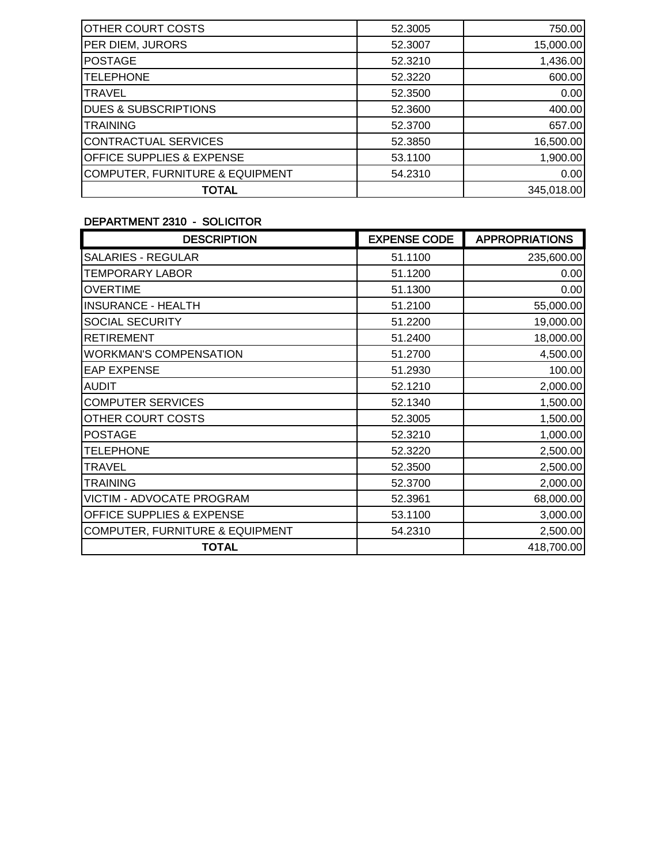| OTHER COURT COSTS                          | 52,3005 | 750.00     |
|--------------------------------------------|---------|------------|
| PER DIEM, JURORS                           | 52.3007 | 15,000.00  |
| <b>POSTAGE</b>                             | 52.3210 | 1,436.00   |
| <b>TELEPHONE</b>                           | 52.3220 | 600.00     |
| <b>TRAVEL</b>                              | 52,3500 | 0.00       |
| <b>DUES &amp; SUBSCRIPTIONS</b>            | 52,3600 | 400.00     |
| <b>TRAINING</b>                            | 52.3700 | 657.00     |
| <b>CONTRACTUAL SERVICES</b>                | 52.3850 | 16,500.00  |
| <b>OFFICE SUPPLIES &amp; EXPENSE</b>       | 53.1100 | 1,900.00   |
| <b>COMPUTER, FURNITURE &amp; EQUIPMENT</b> | 54.2310 | 0.00       |
| <b>TOTAL</b>                               |         | 345,018.00 |

### DEPARTMENT 2310 - SOLICITOR

| <b>DESCRIPTION</b>                         | <b>EXPENSE CODE</b> | <b>APPROPRIATIONS</b> |
|--------------------------------------------|---------------------|-----------------------|
| <b>SALARIES - REGULAR</b>                  | 51.1100             | 235,600.00            |
| <b>TEMPORARY LABOR</b>                     | 51.1200             | 0.00                  |
| <b>OVERTIME</b>                            | 51.1300             | 0.00                  |
| <b>INSURANCE - HEALTH</b>                  | 51.2100             | 55,000.00             |
| SOCIAL SECURITY                            | 51.2200             | 19,000.00             |
| <b>RETIREMENT</b>                          | 51.2400             | 18,000.00             |
| <b>WORKMAN'S COMPENSATION</b>              | 51.2700             | 4,500.00              |
| <b>EAP EXPENSE</b>                         | 51.2930             | 100.00                |
| <b>AUDIT</b>                               | 52.1210             | 2,000.00              |
| <b>COMPUTER SERVICES</b>                   | 52.1340             | 1,500.00              |
| OTHER COURT COSTS                          | 52.3005             | 1,500.00              |
| <b>POSTAGE</b>                             | 52.3210             | 1,000.00              |
| <b>TELEPHONE</b>                           | 52.3220             | 2,500.00              |
| TRAVEL                                     | 52.3500             | 2,500.00              |
| TRAINING                                   | 52.3700             | 2,000.00              |
| VICTIM - ADVOCATE PROGRAM                  | 52.3961             | 68,000.00             |
| <b>OFFICE SUPPLIES &amp; EXPENSE</b>       | 53.1100             | 3,000.00              |
| <b>COMPUTER, FURNITURE &amp; EQUIPMENT</b> | 54.2310             | 2,500.00              |
| <b>TOTAL</b>                               |                     | 418,700.00            |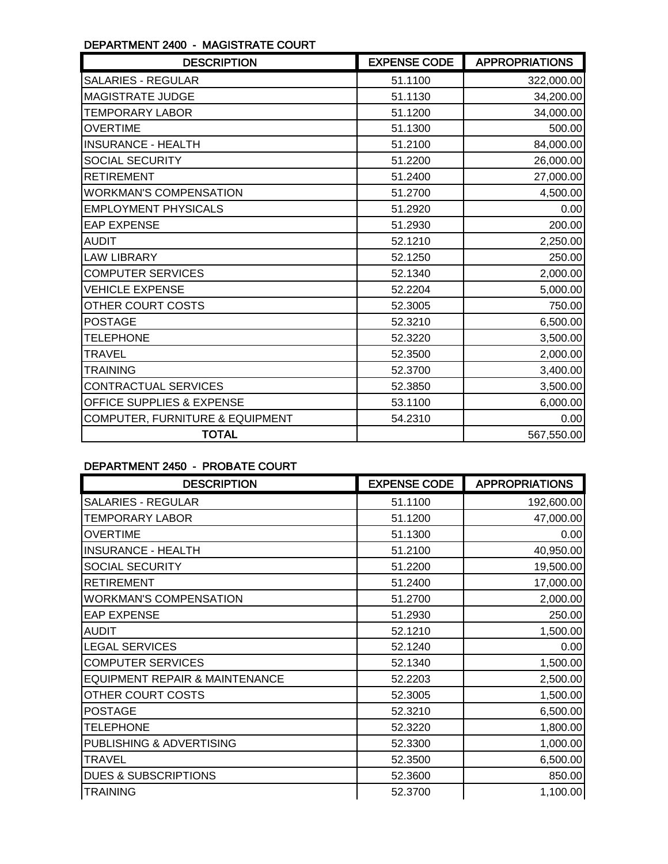# DEPARTMENT 2400 - MAGISTRATE COURT

| <b>DESCRIPTION</b>              | <b>EXPENSE CODE</b> | <b>APPROPRIATIONS</b> |
|---------------------------------|---------------------|-----------------------|
| SALARIES - REGULAR              | 51.1100             | 322,000.00            |
| MAGISTRATE JUDGE                | 51.1130             | 34,200.00             |
| <b>TEMPORARY LABOR</b>          | 51.1200             | 34,000.00             |
| <b>OVERTIME</b>                 | 51.1300             | 500.00                |
| <b>INSURANCE - HEALTH</b>       | 51.2100             | 84,000.00             |
| SOCIAL SECURITY                 | 51.2200             | 26,000.00             |
| <b>RETIREMENT</b>               | 51.2400             | 27,000.00             |
| <b>WORKMAN'S COMPENSATION</b>   | 51.2700             | 4,500.00              |
| <b>EMPLOYMENT PHYSICALS</b>     | 51.2920             | 0.00                  |
| <b>EAP EXPENSE</b>              | 51.2930             | 200.00                |
| <b>AUDIT</b>                    | 52.1210             | 2,250.00              |
| <b>LAW LIBRARY</b>              | 52.1250             | 250.00                |
| <b>COMPUTER SERVICES</b>        | 52.1340             | 2,000.00              |
| <b>VEHICLE EXPENSE</b>          | 52.2204             | 5,000.00              |
| OTHER COURT COSTS               | 52.3005             | 750.00                |
| <b>POSTAGE</b>                  | 52.3210             | 6,500.00              |
| <b>TELEPHONE</b>                | 52.3220             | 3,500.00              |
| <b>TRAVEL</b>                   | 52.3500             | 2,000.00              |
| <b>TRAINING</b>                 | 52.3700             | 3,400.00              |
| CONTRACTUAL SERVICES            | 52.3850             | 3,500.00              |
| OFFICE SUPPLIES & EXPENSE       | 53.1100             | 6,000.00              |
| COMPUTER, FURNITURE & EQUIPMENT | 54.2310             | 0.00                  |
| <b>TOTAL</b>                    |                     | 567,550.00            |

### DEPARTMENT 2450 - PROBATE COURT

| <b>DESCRIPTION</b>                        | <b>EXPENSE CODE</b> | <b>APPROPRIATIONS</b> |
|-------------------------------------------|---------------------|-----------------------|
| <b>SALARIES - REGULAR</b>                 | 51.1100             | 192,600.00            |
| TEMPORARY LABOR                           | 51.1200             | 47,000.00             |
| <b>OVERTIME</b>                           | 51.1300             | 0.00                  |
| <b>INSURANCE - HEALTH</b>                 | 51.2100             | 40,950.00             |
| SOCIAL SECURITY                           | 51.2200             | 19,500.00             |
| <b>RETIREMENT</b>                         | 51.2400             | 17,000.00             |
| <b>WORKMAN'S COMPENSATION</b>             | 51.2700             | 2,000.00              |
| <b>EAP EXPENSE</b>                        | 51.2930             | 250.00                |
| <b>AUDIT</b>                              | 52.1210             | 1,500.00              |
| <b>LEGAL SERVICES</b>                     | 52.1240             | 0.00                  |
| <b>COMPUTER SERVICES</b>                  | 52.1340             | 1,500.00              |
| <b>EQUIPMENT REPAIR &amp; MAINTENANCE</b> | 52.2203             | 2,500.00              |
| OTHER COURT COSTS                         | 52,3005             | 1,500.00              |
| <b>POSTAGE</b>                            | 52.3210             | 6,500.00              |
| <b>TELEPHONE</b>                          | 52.3220             | 1,800.00              |
| PUBLISHING & ADVERTISING                  | 52.3300             | 1,000.00              |
| TRAVEL                                    | 52.3500             | 6,500.00              |
| <b>DUES &amp; SUBSCRIPTIONS</b>           | 52.3600             | 850.00                |
| <b>TRAINING</b>                           | 52.3700             | 1,100.00              |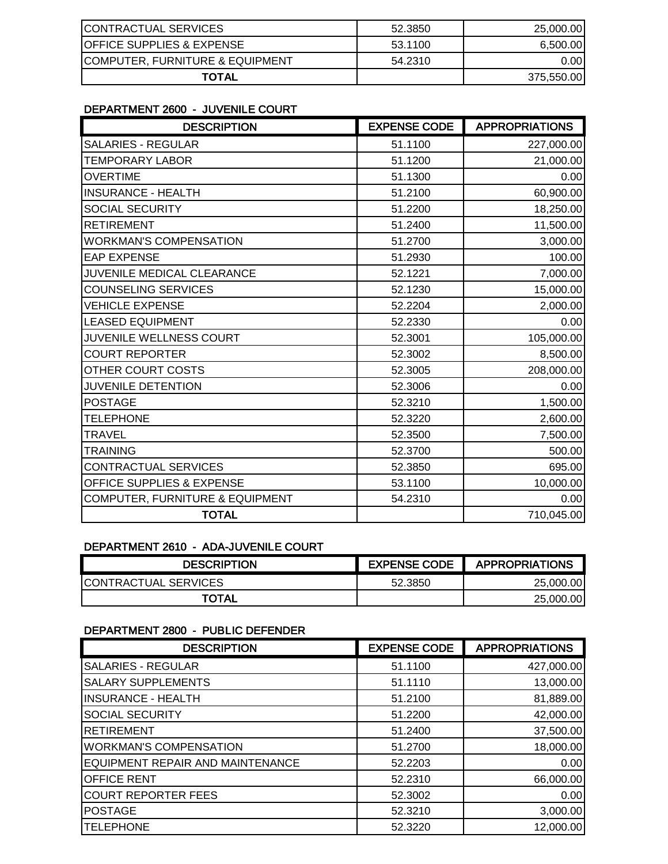| CONTRACTUAL SERVICES                 | 52.3850 | 25,000.00  |
|--------------------------------------|---------|------------|
| <b>OFFICE SUPPLIES &amp; EXPENSE</b> | 53.1100 | 6,500.00   |
| COMPUTER, FURNITURE & EQUIPMENT      | 54.2310 | 0.00I      |
| TOTAL                                |         | 375,550.00 |

### DEPARTMENT 2600 - JUVENILE COURT

| <b>DESCRIPTION</b>              | <b>EXPENSE CODE</b> | <b>APPROPRIATIONS</b> |
|---------------------------------|---------------------|-----------------------|
| <b>SALARIES - REGULAR</b>       | 51.1100             | 227,000.00            |
| <b>TEMPORARY LABOR</b>          | 51.1200             | 21,000.00             |
| <b>OVERTIME</b>                 | 51.1300             | 0.00                  |
| <b>INSURANCE - HEALTH</b>       | 51.2100             | 60,900.00             |
| <b>SOCIAL SECURITY</b>          | 51.2200             | 18,250.00             |
| <b>RETIREMENT</b>               | 51.2400             | 11,500.00             |
| <b>WORKMAN'S COMPENSATION</b>   | 51.2700             | 3,000.00              |
| <b>EAP EXPENSE</b>              | 51.2930             | 100.00                |
| JUVENILE MEDICAL CLEARANCE      | 52.1221             | 7,000.00              |
| <b>COUNSELING SERVICES</b>      | 52.1230             | 15,000.00             |
| <b>VEHICLE EXPENSE</b>          | 52.2204             | 2,000.00              |
| <b>LEASED EQUIPMENT</b>         | 52.2330             | 0.00                  |
| JUVENILE WELLNESS COURT         | 52.3001             | 105,000.00            |
| <b>COURT REPORTER</b>           | 52.3002             | 8,500.00              |
| OTHER COURT COSTS               | 52.3005             | 208,000.00            |
| <b>JUVENILE DETENTION</b>       | 52.3006             | 0.00                  |
| <b>POSTAGE</b>                  | 52.3210             | 1,500.00              |
| <b>TELEPHONE</b>                | 52.3220             | 2,600.00              |
| <b>TRAVEL</b>                   | 52.3500             | 7,500.00              |
| <b>TRAINING</b>                 | 52.3700             | 500.00                |
| CONTRACTUAL SERVICES            | 52.3850             | 695.00                |
| OFFICE SUPPLIES & EXPENSE       | 53.1100             | 10,000.00             |
| COMPUTER, FURNITURE & EQUIPMENT | 54.2310             | 0.00                  |
| <b>TOTAL</b>                    |                     | 710,045.00            |

# DEPARTMENT 2610 - ADA-JUVENILE COURT

| <b>DESCRIPTION</b>          | <b>EXPENSE CODE</b> | <b>APPROPRIATIONS</b> |
|-----------------------------|---------------------|-----------------------|
| <b>CONTRACTUAL SERVICES</b> | 52.3850             | 25,000,00             |
| <b>TOTAL</b>                |                     | 25,000,00             |

### DEPARTMENT 2800 - PUBLIC DEFENDER

| <b>DESCRIPTION</b>               | <b>EXPENSE CODE</b> | <b>APPROPRIATIONS</b> |
|----------------------------------|---------------------|-----------------------|
| <b>SALARIES - REGULAR</b>        | 51.1100             | 427,000.00            |
| <b>SALARY SUPPLEMENTS</b>        | 51.1110             | 13,000.00             |
| <b>INSURANCE - HEALTH</b>        | 51.2100             | 81,889.00             |
| <b>SOCIAL SECURITY</b>           | 51.2200             | 42,000.00             |
| RETIREMENT                       | 51.2400             | 37,500.00             |
| <b>WORKMAN'S COMPENSATION</b>    | 51.2700             | 18,000.00             |
| EQUIPMENT REPAIR AND MAINTENANCE | 52.2203             | 0.00                  |
| <b>OFFICE RENT</b>               | 52.2310             | 66,000.00             |
| <b>COURT REPORTER FEES</b>       | 52.3002             | 0.00                  |
| <b>POSTAGE</b>                   | 52.3210             | 3,000.00              |
| TELEPHONE                        | 52.3220             | 12,000.00             |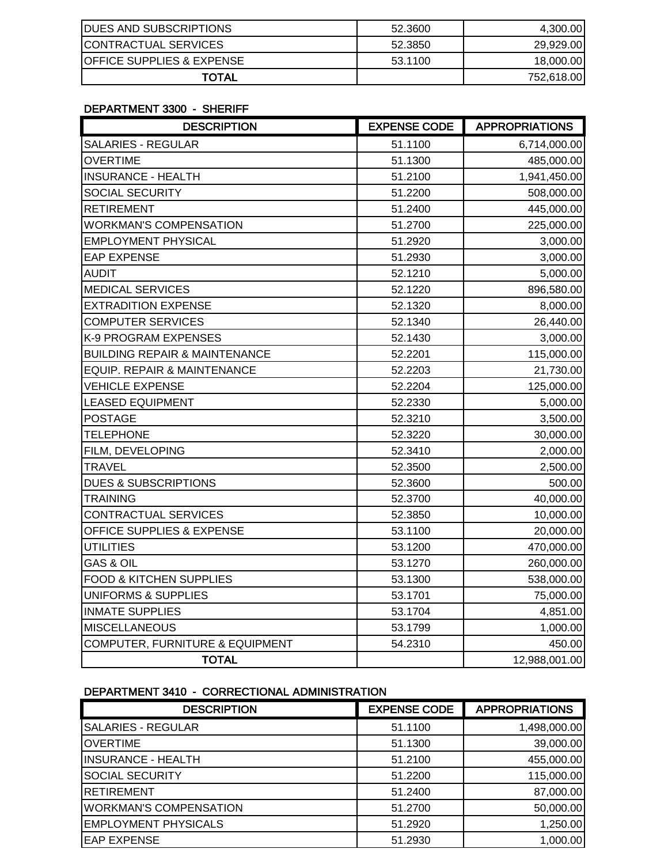| <b>DUES AND SUBSCRIPTIONS</b>        | 52.3600 | 4,300.00   |
|--------------------------------------|---------|------------|
| <b>CONTRACTUAL SERVICES</b>          | 52.3850 | 29,929.00  |
| <b>OFFICE SUPPLIES &amp; EXPENSE</b> | 53.1100 | 18,000.00  |
| TOTAL                                |         | 752,618.00 |

### DEPARTMENT 3300 - SHERIFF

| <b>DESCRIPTION</b>                       | <b>EXPENSE CODE</b> | <b>APPROPRIATIONS</b> |
|------------------------------------------|---------------------|-----------------------|
| <b>SALARIES - REGULAR</b>                | 51.1100             | 6,714,000.00          |
| <b>OVERTIME</b>                          | 51.1300             | 485,000.00            |
| <b>INSURANCE - HEALTH</b>                | 51.2100             | 1,941,450.00          |
| SOCIAL SECURITY                          | 51.2200             | 508,000.00            |
| <b>RETIREMENT</b>                        | 51.2400             | 445,000.00            |
| <b>WORKMAN'S COMPENSATION</b>            | 51.2700             | 225,000.00            |
| <b>EMPLOYMENT PHYSICAL</b>               | 51.2920             | 3,000.00              |
| <b>EAP EXPENSE</b>                       | 51.2930             | 3,000.00              |
| AUDIT                                    | 52.1210             | 5,000.00              |
| <b>MEDICAL SERVICES</b>                  | 52.1220             | 896,580.00            |
| <b>EXTRADITION EXPENSE</b>               | 52.1320             | 8,000.00              |
| <b>COMPUTER SERVICES</b>                 | 52.1340             | 26,440.00             |
| K-9 PROGRAM EXPENSES                     | 52.1430             | 3,000.00              |
| <b>BUILDING REPAIR &amp; MAINTENANCE</b> | 52.2201             | 115,000.00            |
| EQUIP. REPAIR & MAINTENANCE              | 52.2203             | 21,730.00             |
| <b>VEHICLE EXPENSE</b>                   | 52.2204             | 125,000.00            |
| <b>LEASED EQUIPMENT</b>                  | 52.2330             | 5,000.00              |
| <b>POSTAGE</b>                           | 52.3210             | 3,500.00              |
| <b>TELEPHONE</b>                         | 52.3220             | 30,000.00             |
| FILM, DEVELOPING                         | 52.3410             | 2,000.00              |
| <b>TRAVEL</b>                            | 52.3500             | 2,500.00              |
| <b>DUES &amp; SUBSCRIPTIONS</b>          | 52.3600             | 500.00                |
| <b>TRAINING</b>                          | 52.3700             | 40,000.00             |
| <b>CONTRACTUAL SERVICES</b>              | 52.3850             | 10,000.00             |
| <b>OFFICE SUPPLIES &amp; EXPENSE</b>     | 53.1100             | 20,000.00             |
| <b>UTILITIES</b>                         | 53.1200             | 470,000.00            |
| <b>GAS &amp; OIL</b>                     | 53.1270             | 260,000.00            |
| FOOD & KITCHEN SUPPLIES                  | 53.1300             | 538,000.00            |
| <b>UNIFORMS &amp; SUPPLIES</b>           | 53.1701             | 75,000.00             |
| <b>INMATE SUPPLIES</b>                   | 53.1704             | 4,851.00              |
| <b>MISCELLANEOUS</b>                     | 53.1799             | 1,000.00              |
| COMPUTER, FURNITURE & EQUIPMENT          | 54.2310             | 450.00                |
| <b>TOTAL</b>                             |                     | 12,988,001.00         |

# DEPARTMENT 3410 - CORRECTIONAL ADMINISTRATION

| <b>DESCRIPTION</b>            | <b>EXPENSE CODE</b> | <b>APPROPRIATIONS</b> |
|-------------------------------|---------------------|-----------------------|
| <b>SALARIES - REGULAR</b>     | 51.1100             | 1,498,000.00          |
| <b>OVERTIME</b>               | 51.1300             | 39,000.00             |
| <b>INSURANCE - HEALTH</b>     | 51.2100             | 455,000.00            |
| <b>SOCIAL SECURITY</b>        | 51.2200             | 115,000.00            |
| <b>RETIREMENT</b>             | 51.2400             | 87,000.00             |
| <b>WORKMAN'S COMPENSATION</b> | 51.2700             | 50,000.00             |
| <b>EMPLOYMENT PHYSICALS</b>   | 51.2920             | 1,250.00              |
| <b>EAP EXPENSE</b>            | 51.2930             | 1,000.00              |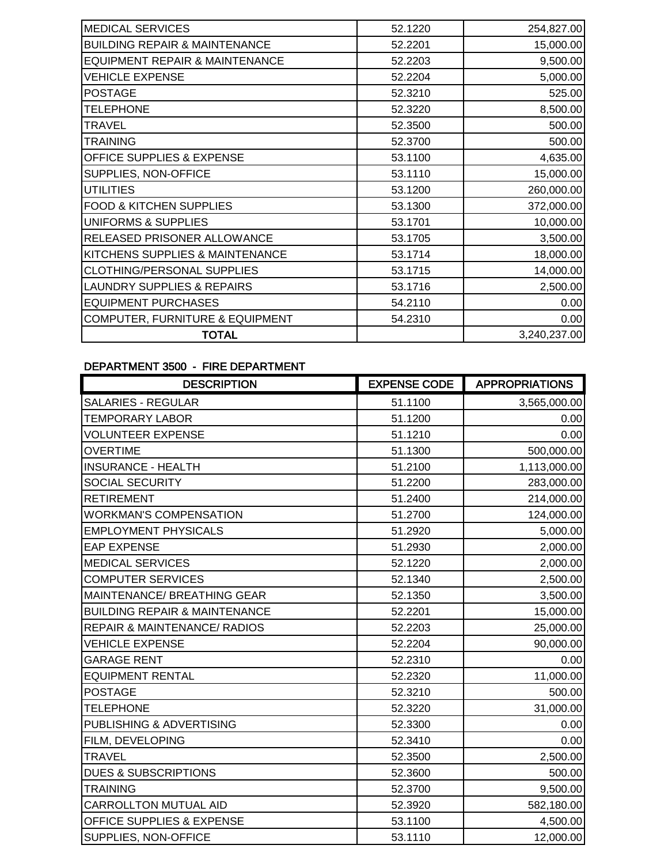| 52.1220 | 254,827.00   |
|---------|--------------|
| 52.2201 | 15,000.00    |
| 52.2203 | 9,500.00     |
| 52.2204 | 5,000.00     |
| 52.3210 | 525.00       |
| 52.3220 | 8,500.00     |
| 52.3500 | 500.00       |
| 52.3700 | 500.00       |
| 53.1100 | 4,635.00     |
| 53.1110 | 15,000.00    |
| 53.1200 | 260,000.00   |
| 53.1300 | 372,000.00   |
| 53.1701 | 10,000.00    |
| 53.1705 | 3,500.00     |
| 53.1714 | 18,000.00    |
| 53.1715 | 14,000.00    |
| 53.1716 | 2,500.00     |
| 54.2110 | 0.00         |
| 54.2310 | 0.00         |
|         | 3,240,237.00 |
|         |              |

### DEPARTMENT 3500 - FIRE DEPARTMENT

| <b>DESCRIPTION</b>                       | <b>EXPENSE CODE</b> | <b>APPROPRIATIONS</b> |
|------------------------------------------|---------------------|-----------------------|
| <b>SALARIES - REGULAR</b>                | 51.1100             | 3,565,000.00          |
| <b>TEMPORARY LABOR</b>                   | 51.1200             | 0.00                  |
| <b>VOLUNTEER EXPENSE</b>                 | 51.1210             | 0.00                  |
| <b>OVERTIME</b>                          | 51.1300             | 500,000.00            |
| <b>INSURANCE - HEALTH</b>                | 51.2100             | 1,113,000.00          |
| SOCIAL SECURITY                          | 51.2200             | 283,000.00            |
| <b>RETIREMENT</b>                        | 51.2400             | 214,000.00            |
| <b>WORKMAN'S COMPENSATION</b>            | 51.2700             | 124,000.00            |
| <b>EMPLOYMENT PHYSICALS</b>              | 51.2920             | 5,000.00              |
| <b>EAP EXPENSE</b>                       | 51.2930             | 2,000.00              |
| <b>MEDICAL SERVICES</b>                  | 52.1220             | 2,000.00              |
| <b>COMPUTER SERVICES</b>                 | 52.1340             | 2,500.00              |
| MAINTENANCE/ BREATHING GEAR              | 52.1350             | 3,500.00              |
| <b>BUILDING REPAIR &amp; MAINTENANCE</b> | 52.2201             | 15,000.00             |
| <b>REPAIR &amp; MAINTENANCE/ RADIOS</b>  | 52.2203             | 25,000.00             |
| <b>VEHICLE EXPENSE</b>                   | 52.2204             | 90,000.00             |
| <b>GARAGE RENT</b>                       | 52.2310             | 0.00                  |
| <b>EQUIPMENT RENTAL</b>                  | 52.2320             | 11,000.00             |
| <b>POSTAGE</b>                           | 52.3210             | 500.00                |
| <b>TELEPHONE</b>                         | 52.3220             | 31,000.00             |
| PUBLISHING & ADVERTISING                 | 52.3300             | 0.00                  |
| FILM, DEVELOPING                         | 52.3410             | 0.00                  |
| <b>TRAVEL</b>                            | 52.3500             | 2,500.00              |
| <b>DUES &amp; SUBSCRIPTIONS</b>          | 52.3600             | 500.00                |
| <b>TRAINING</b>                          | 52.3700             | 9,500.00              |
| CARROLLTON MUTUAL AID                    | 52.3920             | 582,180.00            |
| <b>OFFICE SUPPLIES &amp; EXPENSE</b>     | 53.1100             | 4,500.00              |
| SUPPLIES, NON-OFFICE                     | 53.1110             | 12,000.00             |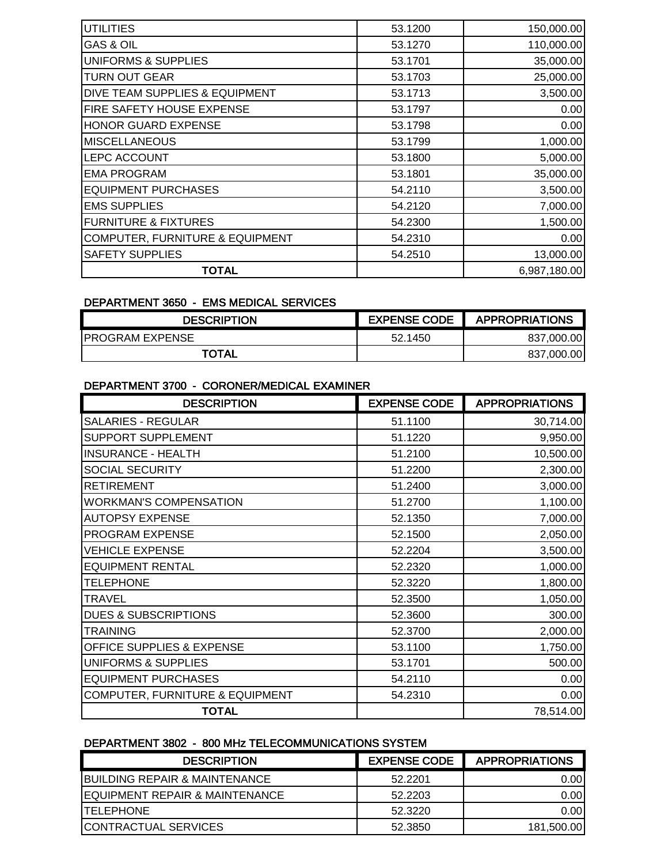| <b>UTILITIES</b>                           | 53.1200 | 150,000.00   |
|--------------------------------------------|---------|--------------|
| <b>GAS &amp; OIL</b>                       | 53.1270 | 110,000.00   |
| <b>UNIFORMS &amp; SUPPLIES</b>             | 53.1701 | 35,000.00    |
| TURN OUT GEAR                              | 53.1703 | 25,000.00    |
| DIVE TEAM SUPPLIES & EQUIPMENT             | 53.1713 | 3,500.00     |
| FIRE SAFETY HOUSE EXPENSE                  | 53.1797 | 0.00         |
| HONOR GUARD EXPENSE                        | 53.1798 | 0.00         |
| <b>MISCELLANEOUS</b>                       | 53.1799 | 1,000.00     |
| LEPC ACCOUNT                               | 53.1800 | 5,000.00     |
| <b>EMA PROGRAM</b>                         | 53.1801 | 35,000.00    |
| <b>EQUIPMENT PURCHASES</b>                 | 54.2110 | 3,500.00     |
| <b>EMS SUPPLIES</b>                        | 54.2120 | 7,000.00     |
| <b>FURNITURE &amp; FIXTURES</b>            | 54.2300 | 1,500.00     |
| <b>COMPUTER, FURNITURE &amp; EQUIPMENT</b> | 54.2310 | 0.00         |
| <b>SAFETY SUPPLIES</b>                     | 54.2510 | 13,000.00    |
| <b>TOTAL</b>                               |         | 6,987,180.00 |

### DEPARTMENT 3650 - EMS MEDICAL SERVICES

| <b>DESCRIPTION</b>      | <b>EXPENSE CODE</b> | <b>APPROPRIATIONS</b> |
|-------------------------|---------------------|-----------------------|
| <b>IPROGRAM EXPENSE</b> | 52.1450             | 837,000.00            |
| <b>TOTAL</b>            |                     | 837,000.00            |

### DEPARTMENT 3700 - CORONER/MEDICAL EXAMINER

| <b>DESCRIPTION</b>                   | <b>EXPENSE CODE</b> | <b>APPROPRIATIONS</b> |
|--------------------------------------|---------------------|-----------------------|
| <b>SALARIES - REGULAR</b>            | 51.1100             | 30,714.00             |
| SUPPORT SUPPLEMENT                   | 51.1220             | 9,950.00              |
| <b>INSURANCE - HEALTH</b>            | 51.2100             | 10,500.00             |
| SOCIAL SECURITY                      | 51.2200             | 2,300.00              |
| <b>RETIREMENT</b>                    | 51.2400             | 3,000.00              |
| <b>WORKMAN'S COMPENSATION</b>        | 51.2700             | 1,100.00              |
| <b>AUTOPSY EXPENSE</b>               | 52.1350             | 7,000.00              |
| PROGRAM EXPENSE                      | 52.1500             | 2,050.00              |
| <b>VEHICLE EXPENSE</b>               | 52.2204             | 3,500.00              |
| <b>EQUIPMENT RENTAL</b>              | 52.2320             | 1,000.00              |
| <b>TELEPHONE</b>                     | 52.3220             | 1,800.00              |
| TRAVEL                               | 52.3500             | 1,050.00              |
| <b>DUES &amp; SUBSCRIPTIONS</b>      | 52.3600             | 300.00                |
| TRAINING                             | 52.3700             | 2,000.00              |
| <b>OFFICE SUPPLIES &amp; EXPENSE</b> | 53.1100             | 1,750.00              |
| <b>UNIFORMS &amp; SUPPLIES</b>       | 53.1701             | 500.00                |
| <b>EQUIPMENT PURCHASES</b>           | 54.2110             | 0.00                  |
| COMPUTER, FURNITURE & EQUIPMENT      | 54.2310             | 0.00                  |
| <b>TOTAL</b>                         |                     | 78,514.00             |

### DEPARTMENT 3802 - 800 MHz TELECOMMUNICATIONS SYSTEM

| <b>DESCRIPTION</b>                         | <b>EXPENSE CODE</b> | <b>APPROPRIATIONS</b> |
|--------------------------------------------|---------------------|-----------------------|
| <b>IBUILDING REPAIR &amp; MAINTENANCE</b>  | 52.2201             | 0.00                  |
| <b>IEQUIPMENT REPAIR &amp; MAINTENANCE</b> | 52.2203             | 0.00                  |
| <b>ITELEPHONE</b>                          | 52.3220             | 0.00                  |
| <b>CONTRACTUAL SERVICES</b>                | 52.3850             | 181.500.00            |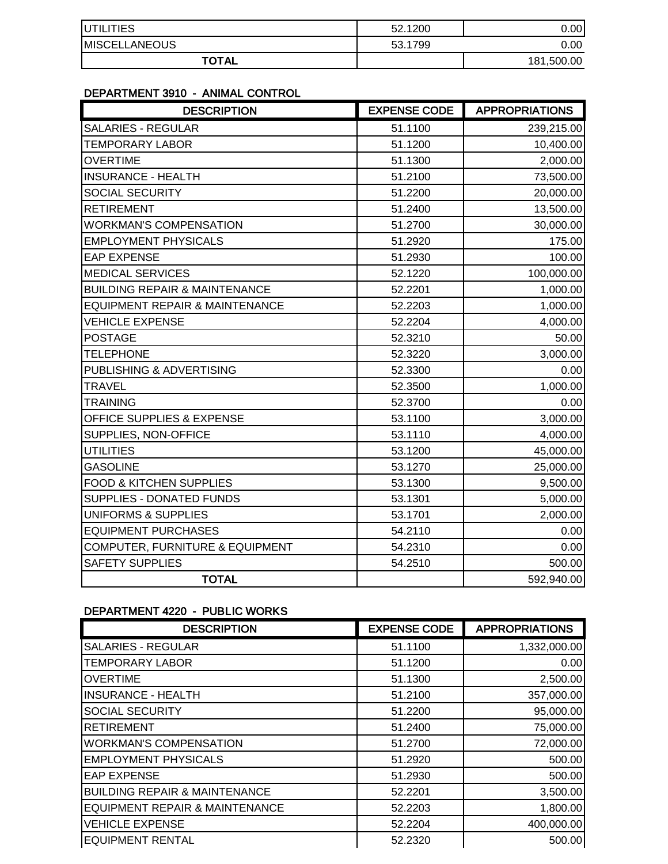| <b>IUTILITIES</b>    | 52.1200 | 0.00       |
|----------------------|---------|------------|
| <b>MISCELLANEOUS</b> | 53.1799 | 0.00       |
| <b>TOTAL</b>         |         | 181,500.00 |

### DEPARTMENT 3910 - ANIMAL CONTROL

| <b>DESCRIPTION</b>                         | <b>EXPENSE CODE</b> | <b>APPROPRIATIONS</b> |
|--------------------------------------------|---------------------|-----------------------|
| <b>SALARIES - REGULAR</b>                  | 51.1100             | 239,215.00            |
| <b>TEMPORARY LABOR</b>                     | 51.1200             | 10,400.00             |
| <b>OVERTIME</b>                            | 51.1300             | 2,000.00              |
| <b>INSURANCE - HEALTH</b>                  | 51.2100             | 73,500.00             |
| SOCIAL SECURITY                            | 51.2200             | 20,000.00             |
| <b>RETIREMENT</b>                          | 51.2400             | 13,500.00             |
| <b>WORKMAN'S COMPENSATION</b>              | 51.2700             | 30,000.00             |
| <b>EMPLOYMENT PHYSICALS</b>                | 51.2920             | 175.00                |
| <b>EAP EXPENSE</b>                         | 51.2930             | 100.00                |
| <b>MEDICAL SERVICES</b>                    | 52.1220             | 100,000.00            |
| <b>BUILDING REPAIR &amp; MAINTENANCE</b>   | 52.2201             | 1,000.00              |
| <b>EQUIPMENT REPAIR &amp; MAINTENANCE</b>  | 52.2203             | 1,000.00              |
| <b>VEHICLE EXPENSE</b>                     | 52.2204             | 4,000.00              |
| <b>POSTAGE</b>                             | 52.3210             | 50.00                 |
| <b>TELEPHONE</b>                           | 52.3220             | 3,000.00              |
| PUBLISHING & ADVERTISING                   | 52.3300             | 0.00                  |
| <b>TRAVEL</b>                              | 52.3500             | 1,000.00              |
| <b>TRAINING</b>                            | 52.3700             | 0.00                  |
| OFFICE SUPPLIES & EXPENSE                  | 53.1100             | 3,000.00              |
| SUPPLIES, NON-OFFICE                       | 53.1110             | 4,000.00              |
| <b>UTILITIES</b>                           | 53.1200             | 45,000.00             |
| <b>GASOLINE</b>                            | 53.1270             | 25,000.00             |
| <b>FOOD &amp; KITCHEN SUPPLIES</b>         | 53.1300             | 9,500.00              |
| SUPPLIES - DONATED FUNDS                   | 53.1301             | 5,000.00              |
| <b>UNIFORMS &amp; SUPPLIES</b>             | 53.1701             | 2,000.00              |
| <b>EQUIPMENT PURCHASES</b>                 | 54.2110             | 0.00                  |
| <b>COMPUTER, FURNITURE &amp; EQUIPMENT</b> | 54.2310             | 0.00                  |
| <b>SAFETY SUPPLIES</b>                     | 54.2510             | 500.00                |
| <b>TOTAL</b>                               |                     | 592,940.00            |

### DEPARTMENT 4220 - PUBLIC WORKS

| <b>DESCRIPTION</b>                        | <b>EXPENSE CODE</b> | <b>APPROPRIATIONS</b> |
|-------------------------------------------|---------------------|-----------------------|
| <b>SALARIES - REGULAR</b>                 | 51.1100             | 1,332,000.00          |
| <b>TEMPORARY LABOR</b>                    | 51.1200             | 0.00                  |
| <b>OVERTIME</b>                           | 51.1300             | 2,500.00              |
| <b>INSURANCE - HEALTH</b>                 | 51.2100             | 357,000.00            |
| <b>SOCIAL SECURITY</b>                    | 51.2200             | 95,000.00             |
| <b>RETIREMENT</b>                         | 51.2400             | 75,000.00             |
| <b>WORKMAN'S COMPENSATION</b>             | 51.2700             | 72,000.00             |
| <b>EMPLOYMENT PHYSICALS</b>               | 51.2920             | 500.00                |
| <b>EAP EXPENSE</b>                        | 51.2930             | 500.00                |
| <b>BUILDING REPAIR &amp; MAINTENANCE</b>  | 52.2201             | 3,500.00              |
| <b>EQUIPMENT REPAIR &amp; MAINTENANCE</b> | 52.2203             | 1,800.00              |
| <b>VEHICLE EXPENSE</b>                    | 52.2204             | 400,000.00            |
| <b>EQUIPMENT RENTAL</b>                   | 52.2320             | 500.00                |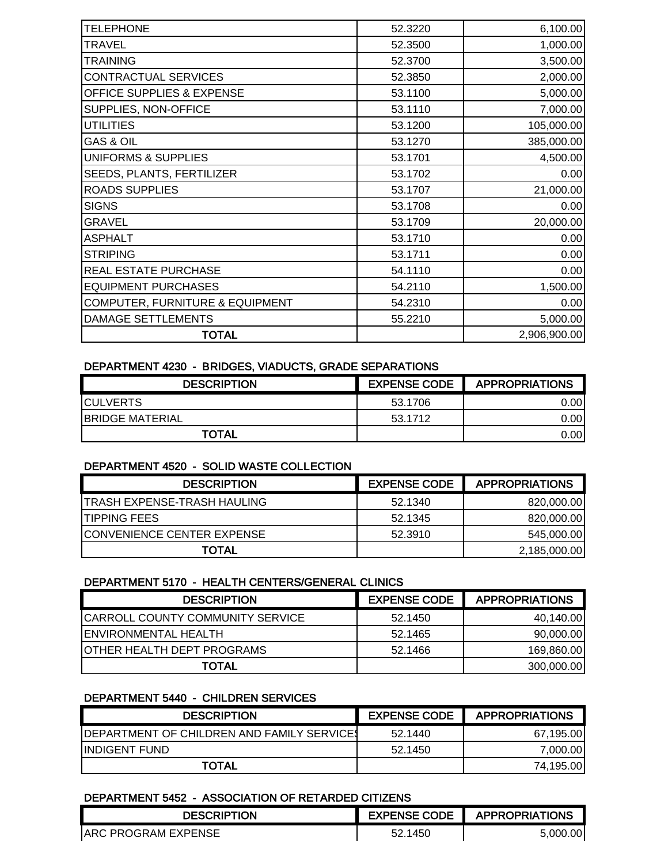| 52.3220 | 6,100.00     |
|---------|--------------|
| 52.3500 | 1,000.00     |
| 52.3700 | 3,500.00     |
| 52.3850 | 2,000.00     |
| 53.1100 | 5,000.00     |
| 53.1110 | 7,000.00     |
| 53.1200 | 105,000.00   |
| 53.1270 | 385,000.00   |
| 53.1701 | 4,500.00     |
| 53.1702 | 0.00         |
| 53.1707 | 21,000.00    |
| 53.1708 | 0.00         |
| 53.1709 | 20,000.00    |
| 53.1710 | 0.00         |
| 53.1711 | 0.00         |
| 54.1110 | 0.00         |
| 54.2110 | 1,500.00     |
| 54.2310 | 0.00         |
| 55.2210 | 5,000.00     |
|         | 2,906,900.00 |
|         |              |

#### DEPARTMENT 4230 - BRIDGES, VIADUCTS, GRADE SEPARATIONS

| <b>DESCRIPTION</b>     | <b>EXPENSE CODE</b> | <b>APPROPRIATIONS</b> |
|------------------------|---------------------|-----------------------|
| <b>ICULVERTS</b>       | 53.1706             | 0.001                 |
| <b>BRIDGE MATERIAL</b> | 53.1712             | 0.001                 |
| <b>TOTAL</b>           |                     | 0.001                 |

#### DEPARTMENT 4520 - SOLID WASTE COLLECTION

| <b>DESCRIPTION</b>                 | <b>EXPENSE CODE</b> | <b>APPROPRIATIONS</b> |
|------------------------------------|---------------------|-----------------------|
| <b>TRASH EXPENSE-TRASH HAULING</b> | 52.1340             | 820,000.00            |
| <b>ITIPPING FEES</b>               | 52.1345             | 820,000.00            |
| <b>ICONVENIENCE CENTER EXPENSE</b> | 52.3910             | 545,000.00            |
| <b>TOTAL</b>                       |                     | 2,185,000.00          |

#### DEPARTMENT 5170 - HEALTH CENTERS/GENERAL CLINICS

| <b>DESCRIPTION</b>                      | <b>EXPENSE CODE</b> | <b>APPROPRIATIONS</b> |
|-----------------------------------------|---------------------|-----------------------|
| <b>CARROLL COUNTY COMMUNITY SERVICE</b> | 52.1450             | 40,140.00             |
| <b>ENVIRONMENTAL HEALTH</b>             | 52.1465             | 90,000.00             |
| <b>JOTHER HEALTH DEPT PROGRAMS</b>      | 52.1466             | 169,860.00            |
| <b>TOTAL</b>                            |                     | 300,000.00            |

#### DEPARTMENT 5440 - CHILDREN SERVICES

| <b>DESCRIPTION</b>                                 | <b>EXPENSE CODE</b> | <b>APPROPRIATIONS</b> |
|----------------------------------------------------|---------------------|-----------------------|
| <b>IDEPARTMENT OF CHILDREN AND FAMILY SERVICES</b> | 52.1440             | 67,195.00             |
| <b>IINDIGENT FUND</b>                              | 52.1450             | 7.000.00              |
| <b>TOTAL</b>                                       |                     | 74,195.00             |

#### DEPARTMENT 5452 - ASSOCIATION OF RETARDED CITIZENS

| DESCRIPTION                 | <b>EXPENSE CODE</b> | <b>APPROPRIATIONS</b> |
|-----------------------------|---------------------|-----------------------|
| <b>JARC PROGRAM EXPENSE</b> | 52.1450             | 5.000.00              |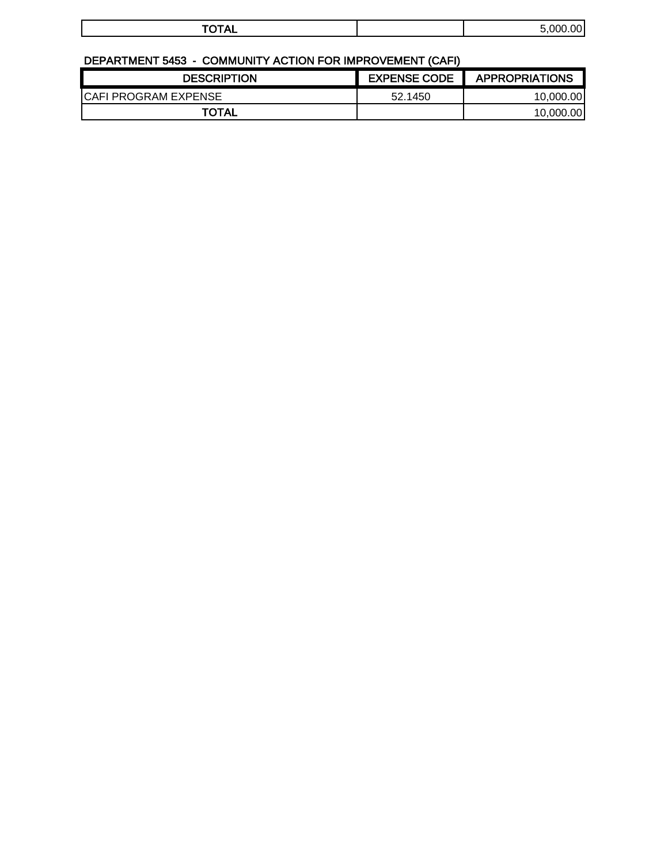| $\frac{1}{2}$<br>м<br>. | 5.001 |
|-------------------------|-------|
|                         |       |

# DEPARTMENT 5453 - COMMUNITY ACTION FOR IMPROVEMENT (CAFI)

| <b>DESCRIPTION</b>           | <b>EXPENSE CODE</b> | <b>APPROPRIATIONS</b> |
|------------------------------|---------------------|-----------------------|
| <b>ICAFI PROGRAM EXPENSE</b> | 52.1450             | 10.000.00             |
| TOTAL                        |                     | 10.000.00             |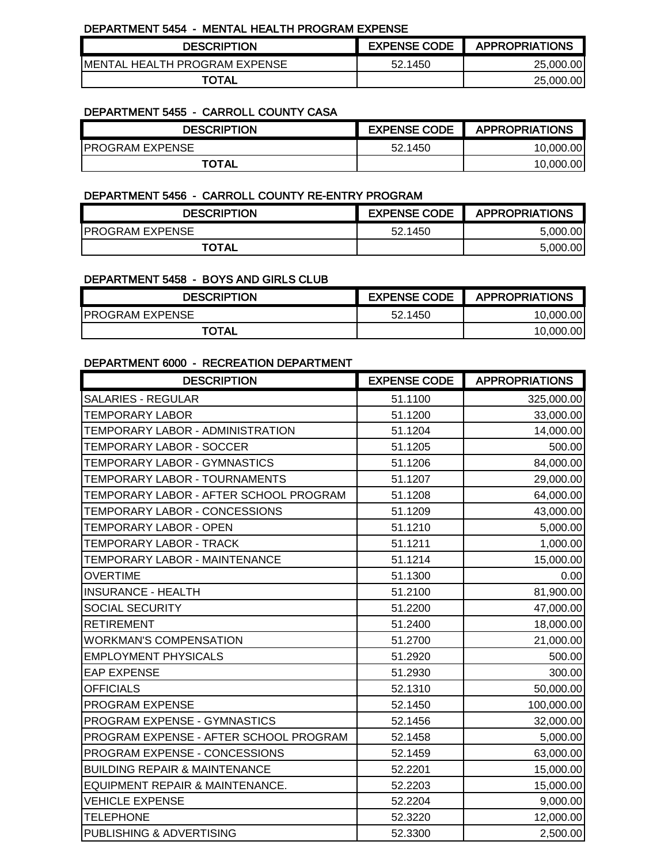#### DEPARTMENT 5454 - MENTAL HEALTH PROGRAM EXPENSE

| <b>DESCRIPTION</b>             |         | EXPENSE CODE   APPROPRIATIONS |
|--------------------------------|---------|-------------------------------|
| IMENTAL HEALTH PROGRAM EXPENSE | 52.1450 | 25,000,00                     |
| <b>TOTAL</b>                   |         | 25,000.00                     |

### DEPARTMENT 5455 - CARROLL COUNTY CASA

| <b>DESCRIPTION</b>      | <b>EXPENSE CODE</b> | <b>APPROPRIATIONS</b> |
|-------------------------|---------------------|-----------------------|
| <b>IPROGRAM EXPENSE</b> | 52.1450             | 10.000.00             |
| TOTAL                   |                     | 10.000.00             |

#### DEPARTMENT 5456 - CARROLL COUNTY RE-ENTRY PROGRAM

| <b>DESCRIPTION</b>      | <b>EXPENSE CODE</b> | <b>APPROPRIATIONS</b> |
|-------------------------|---------------------|-----------------------|
| <b>IPROGRAM EXPENSE</b> | 52.1450             | 5.000.00              |
| <b>TOTAL</b>            |                     | 5,000.00              |

#### DEPARTMENT 5458 - BOYS AND GIRLS CLUB

| <b>DESCRIPTION</b>      | <b>EXPENSE CODE</b> | <b>APPROPRIATIONS</b> |
|-------------------------|---------------------|-----------------------|
| <b>IPROGRAM EXPENSE</b> | 52.1450             | 10.000.00             |
| <b>TOTAL</b>            |                     | 10.000.00             |

#### DEPARTMENT 6000 - RECREATION DEPARTMENT

| <b>DESCRIPTION</b>                       | <b>EXPENSE CODE</b> | <b>APPROPRIATIONS</b> |
|------------------------------------------|---------------------|-----------------------|
| <b>SALARIES - REGULAR</b>                | 51.1100             | 325,000.00            |
| <b>TEMPORARY LABOR</b>                   | 51.1200             | 33,000.00             |
| TEMPORARY LABOR - ADMINISTRATION         | 51.1204             | 14,000.00             |
| TEMPORARY LABOR - SOCCER                 | 51.1205             | 500.00                |
| TEMPORARY LABOR - GYMNASTICS             | 51.1206             | 84,000.00             |
| TEMPORARY LABOR - TOURNAMENTS            | 51.1207             | 29,000.00             |
| TEMPORARY LABOR - AFTER SCHOOL PROGRAM   | 51.1208             | 64,000.00             |
| TEMPORARY LABOR - CONCESSIONS            | 51.1209             | 43,000.00             |
| TEMPORARY LABOR - OPEN                   | 51.1210             | 5,000.00              |
| TEMPORARY LABOR - TRACK                  | 51.1211             | 1,000.00              |
| TEMPORARY LABOR - MAINTENANCE            | 51.1214             | 15,000.00             |
| <b>OVERTIME</b>                          | 51.1300             | 0.00                  |
| <b>INSURANCE - HEALTH</b>                | 51.2100             | 81,900.00             |
| SOCIAL SECURITY                          | 51.2200             | 47,000.00             |
| <b>RETIREMENT</b>                        | 51.2400             | 18,000.00             |
| <b>WORKMAN'S COMPENSATION</b>            | 51.2700             | 21,000.00             |
| <b>EMPLOYMENT PHYSICALS</b>              | 51.2920             | 500.00                |
| <b>EAP EXPENSE</b>                       | 51.2930             | 300.00                |
| <b>OFFICIALS</b>                         | 52.1310             | 50,000.00             |
| PROGRAM EXPENSE                          | 52.1450             | 100,000.00            |
| PROGRAM EXPENSE - GYMNASTICS             | 52.1456             | 32,000.00             |
| PROGRAM EXPENSE - AFTER SCHOOL PROGRAM   | 52.1458             | 5,000.00              |
| PROGRAM EXPENSE - CONCESSIONS            | 52.1459             | 63,000.00             |
| <b>BUILDING REPAIR &amp; MAINTENANCE</b> | 52.2201             | 15,000.00             |
| EQUIPMENT REPAIR & MAINTENANCE.          | 52.2203             | 15,000.00             |
| <b>VEHICLE EXPENSE</b>                   | 52.2204             | 9,000.00              |
| <b>TELEPHONE</b>                         | 52.3220             | 12,000.00             |
| PUBLISHING & ADVERTISING                 | 52.3300             | 2,500.00              |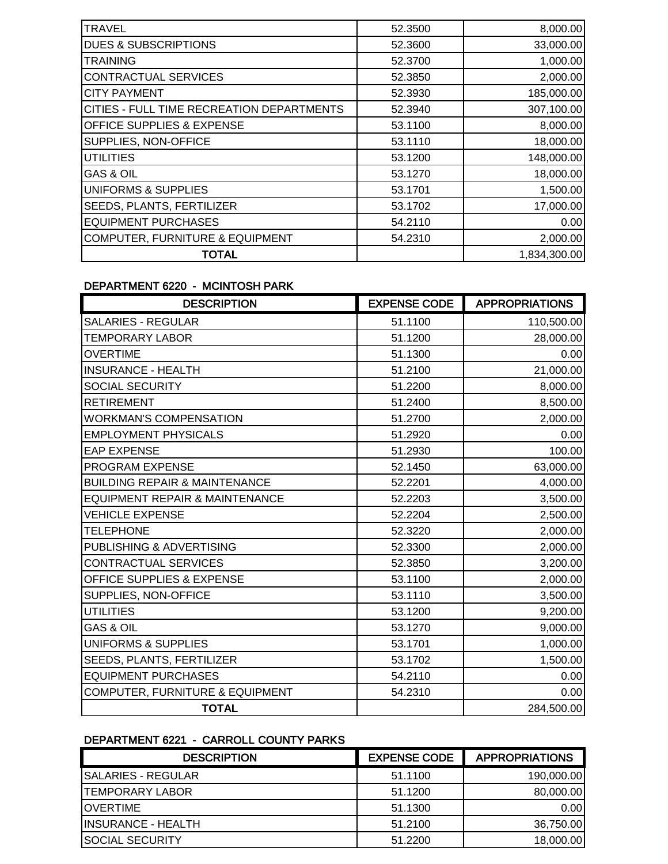| <b>TRAVEL</b>                              | 52,3500 | 8,000.00     |
|--------------------------------------------|---------|--------------|
| <b>DUES &amp; SUBSCRIPTIONS</b>            | 52.3600 | 33,000.00    |
| <b>TRAINING</b>                            | 52.3700 | 1,000.00     |
| <b>CONTRACTUAL SERVICES</b>                | 52.3850 | 2,000.00     |
| <b>CITY PAYMENT</b>                        | 52.3930 | 185,000.00   |
| CITIES - FULL TIME RECREATION DEPARTMENTS  | 52.3940 | 307,100.00   |
| OFFICE SUPPLIES & EXPENSE                  | 53.1100 | 8,000.00     |
| SUPPLIES, NON-OFFICE                       | 53.1110 | 18,000.00    |
| <b>UTILITIES</b>                           | 53.1200 | 148,000.00   |
| <b>GAS &amp; OIL</b>                       | 53.1270 | 18,000.00    |
| <b>UNIFORMS &amp; SUPPLIES</b>             | 53.1701 | 1,500.00     |
| SEEDS, PLANTS, FERTILIZER                  | 53.1702 | 17,000.00    |
| <b>EQUIPMENT PURCHASES</b>                 | 54.2110 | 0.00         |
| <b>COMPUTER, FURNITURE &amp; EQUIPMENT</b> | 54.2310 | 2,000.00     |
| <b>TOTAL</b>                               |         | 1,834,300.00 |

#### DEPARTMENT 6220 - MCINTOSH PARK

| <b>DESCRIPTION</b>                        | <b>EXPENSE CODE</b> | <b>APPROPRIATIONS</b> |
|-------------------------------------------|---------------------|-----------------------|
| <b>SALARIES - REGULAR</b>                 | 51.1100             | 110,500.00            |
| TEMPORARY LABOR                           | 51.1200             | 28,000.00             |
| <b>OVERTIME</b>                           | 51.1300             | 0.00                  |
| <b>INSURANCE - HEALTH</b>                 | 51.2100             | 21,000.00             |
| SOCIAL SECURITY                           | 51.2200             | 8,000.00              |
| <b>RETIREMENT</b>                         | 51.2400             | 8,500.00              |
| <b>WORKMAN'S COMPENSATION</b>             | 51.2700             | 2,000.00              |
| <b>EMPLOYMENT PHYSICALS</b>               | 51.2920             | 0.00                  |
| <b>EAP EXPENSE</b>                        | 51.2930             | 100.00                |
| PROGRAM EXPENSE                           | 52.1450             | 63,000.00             |
| <b>BUILDING REPAIR &amp; MAINTENANCE</b>  | 52.2201             | 4,000.00              |
| <b>EQUIPMENT REPAIR &amp; MAINTENANCE</b> | 52.2203             | 3,500.00              |
| <b>VEHICLE EXPENSE</b>                    | 52.2204             | 2,500.00              |
| <b>TELEPHONE</b>                          | 52.3220             | 2,000.00              |
| PUBLISHING & ADVERTISING                  | 52.3300             | 2,000.00              |
| CONTRACTUAL SERVICES                      | 52.3850             | 3,200.00              |
| <b>OFFICE SUPPLIES &amp; EXPENSE</b>      | 53.1100             | 2,000.00              |
| SUPPLIES, NON-OFFICE                      | 53.1110             | 3,500.00              |
| <b>UTILITIES</b>                          | 53.1200             | 9,200.00              |
| <b>GAS &amp; OIL</b>                      | 53.1270             | 9,000.00              |
| UNIFORMS & SUPPLIES                       | 53.1701             | 1,000.00              |
| SEEDS, PLANTS, FERTILIZER                 | 53.1702             | 1,500.00              |
| <b>EQUIPMENT PURCHASES</b>                | 54.2110             | 0.00                  |
| COMPUTER, FURNITURE & EQUIPMENT           | 54.2310             | 0.00                  |
| <b>TOTAL</b>                              |                     | 284,500.00            |

# DEPARTMENT 6221 - CARROLL COUNTY PARKS

| <b>DESCRIPTION</b>         | <b>EXPENSE CODE</b> | <b>APPROPRIATIONS</b> |
|----------------------------|---------------------|-----------------------|
| ISALARIES - REGULAR        | 51.1100             | 190,000.00            |
| <b>TEMPORARY LABOR</b>     | 51.1200             | 80,000.00             |
| <b>IOVERTIME</b>           | 51.1300             | 0.00                  |
| <b>IINSURANCE - HEALTH</b> | 51.2100             | 36,750.00             |
| <b>SOCIAL SECURITY</b>     | 51.2200             | 18,000.00             |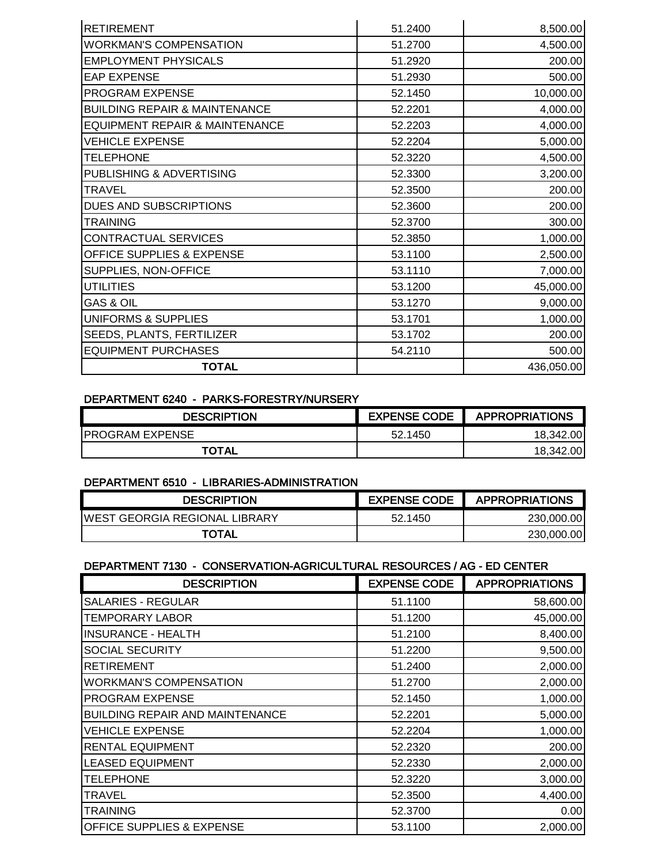| <b>RETIREMENT</b>                        | 51.2400 | 8,500.00   |
|------------------------------------------|---------|------------|
| <b>WORKMAN'S COMPENSATION</b>            | 51.2700 | 4,500.00   |
| <b>EMPLOYMENT PHYSICALS</b>              | 51.2920 | 200.00     |
| <b>EAP EXPENSE</b>                       | 51.2930 | 500.00     |
| PROGRAM EXPENSE                          | 52.1450 | 10,000.00  |
| <b>BUILDING REPAIR &amp; MAINTENANCE</b> | 52.2201 | 4,000.00   |
| EQUIPMENT REPAIR & MAINTENANCE           | 52.2203 | 4,000.00   |
| <b>VEHICLE EXPENSE</b>                   | 52.2204 | 5,000.00   |
| <b>TELEPHONE</b>                         | 52.3220 | 4,500.00   |
| PUBLISHING & ADVERTISING                 | 52.3300 | 3,200.00   |
| <b>TRAVEL</b>                            | 52.3500 | 200.00     |
| DUES AND SUBSCRIPTIONS                   | 52.3600 | 200.00     |
| <b>TRAINING</b>                          | 52.3700 | 300.00     |
| CONTRACTUAL SERVICES                     | 52.3850 | 1,000.00   |
| OFFICE SUPPLIES & EXPENSE                | 53.1100 | 2,500.00   |
| SUPPLIES, NON-OFFICE                     | 53.1110 | 7,000.00   |
| <b>UTILITIES</b>                         | 53.1200 | 45,000.00  |
| <b>GAS &amp; OIL</b>                     | 53.1270 | 9,000.00   |
| UNIFORMS & SUPPLIES                      | 53.1701 | 1,000.00   |
| SEEDS, PLANTS, FERTILIZER                | 53.1702 | 200.00     |
| <b>EQUIPMENT PURCHASES</b>               | 54.2110 | 500.00     |
| <b>TOTAL</b>                             |         | 436,050.00 |

#### DEPARTMENT 6240 - PARKS-FORESTRY/NURSERY

| <b>DESCRIPTION</b>     | <b>EXPENSE CODE</b> | <b>APPROPRIATIONS</b> |
|------------------------|---------------------|-----------------------|
| <b>PROGRAM EXPENSE</b> | 52.1450             | 18.342.00             |
| <b>TOTAL</b>           |                     | 18.342.00             |

#### DEPARTMENT 6510 - LIBRARIES-ADMINISTRATION

| <b>DESCRIPTION</b>                    | <b>EXPENSE CODE</b> | <b>APPROPRIATIONS</b> |
|---------------------------------------|---------------------|-----------------------|
| <b>IWEST GEORGIA REGIONAL LIBRARY</b> | 52.1450             | 230,000.00            |
| <b>TOTAL</b>                          |                     | 230,000.00            |

#### DEPARTMENT 7130 - CONSERVATION-AGRICULTURAL RESOURCES / AG - ED CENTER

| <b>DESCRIPTION</b>                     | <b>EXPENSE CODE</b> | <b>APPROPRIATIONS</b> |
|----------------------------------------|---------------------|-----------------------|
| <b>SALARIES - REGULAR</b>              | 51.1100             | 58,600.00             |
| <b>TEMPORARY LABOR</b>                 | 51.1200             | 45,000.00             |
| <b>INSURANCE - HEALTH</b>              | 51.2100             | 8,400.00              |
| <b>SOCIAL SECURITY</b>                 | 51.2200             | 9,500.00              |
| <b>RETIREMENT</b>                      | 51.2400             | 2,000.00              |
| <b>WORKMAN'S COMPENSATION</b>          | 51.2700             | 2,000.00              |
| <b>PROGRAM EXPENSE</b>                 | 52.1450             | 1,000.00              |
| <b>BUILDING REPAIR AND MAINTENANCE</b> | 52.2201             | 5,000.00              |
| <b>VEHICLE EXPENSE</b>                 | 52.2204             | 1,000.00              |
| <b>RENTAL EQUIPMENT</b>                | 52.2320             | 200.00                |
| <b>LEASED EQUIPMENT</b>                | 52.2330             | 2,000.00              |
| <b>TELEPHONE</b>                       | 52.3220             | 3,000.00              |
| TRAVEL                                 | 52,3500             | 4,400.00              |
| TRAINING                               | 52.3700             | 0.00                  |
| <b>OFFICE SUPPLIES &amp; EXPENSE</b>   | 53.1100             | 2,000.00              |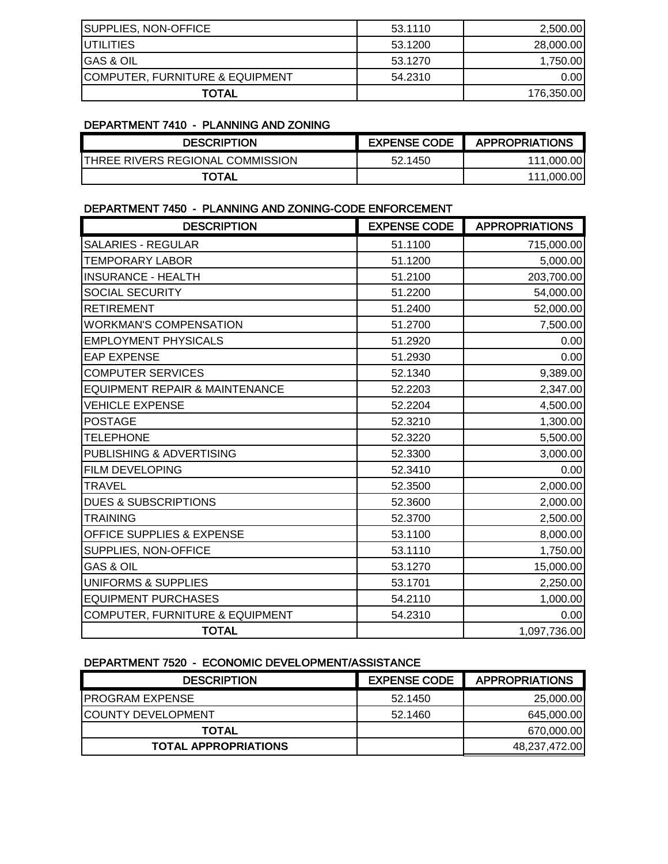| SUPPLIES, NON-OFFICE                       | 53.1110 | 2,500.00   |
|--------------------------------------------|---------|------------|
| <b>IUTILITIES</b>                          | 53.1200 | 28,000.00  |
| IGAS & OIL                                 | 53.1270 | 1,750.00   |
| <b>COMPUTER, FURNITURE &amp; EQUIPMENT</b> | 54.2310 | 0.001      |
| TOTAL                                      |         | 176,350.00 |

#### DEPARTMENT 7410 - PLANNING AND ZONING

| <b>DESCRIPTION</b>               | <b>EXPENSE CODE</b> | <b>APPROPRIATIONS</b> |
|----------------------------------|---------------------|-----------------------|
| THREE RIVERS REGIONAL COMMISSION | 52.1450             | 111,000.00            |
| TOTAL                            |                     | 111.000.00            |

### DEPARTMENT 7450 - PLANNING AND ZONING-CODE ENFORCEMENT

| <b>DESCRIPTION</b>                         | <b>EXPENSE CODE</b> | <b>APPROPRIATIONS</b> |
|--------------------------------------------|---------------------|-----------------------|
| <b>SALARIES - REGULAR</b>                  | 51.1100             | 715,000.00            |
| <b>TEMPORARY LABOR</b>                     | 51.1200             | 5,000.00              |
| <b>INSURANCE - HEALTH</b>                  | 51.2100             | 203,700.00            |
| <b>SOCIAL SECURITY</b>                     | 51.2200             | 54,000.00             |
| <b>RETIREMENT</b>                          | 51.2400             | 52,000.00             |
| <b>WORKMAN'S COMPENSATION</b>              | 51.2700             | 7,500.00              |
| <b>EMPLOYMENT PHYSICALS</b>                | 51.2920             | 0.00                  |
| <b>EAP EXPENSE</b>                         | 51.2930             | 0.00                  |
| <b>COMPUTER SERVICES</b>                   | 52.1340             | 9,389.00              |
| <b>EQUIPMENT REPAIR &amp; MAINTENANCE</b>  | 52.2203             | 2,347.00              |
| <b>VEHICLE EXPENSE</b>                     | 52.2204             | 4,500.00              |
| <b>POSTAGE</b>                             | 52.3210             | 1,300.00              |
| <b>TELEPHONE</b>                           | 52.3220             | 5,500.00              |
| PUBLISHING & ADVERTISING                   | 52.3300             | 3,000.00              |
| FILM DEVELOPING                            | 52.3410             | 0.00                  |
| <b>TRAVEL</b>                              | 52.3500             | 2,000.00              |
| <b>DUES &amp; SUBSCRIPTIONS</b>            | 52.3600             | 2,000.00              |
| <b>TRAINING</b>                            | 52.3700             | 2,500.00              |
| OFFICE SUPPLIES & EXPENSE                  | 53.1100             | 8,000.00              |
| SUPPLIES, NON-OFFICE                       | 53.1110             | 1,750.00              |
| <b>GAS &amp; OIL</b>                       | 53.1270             | 15,000.00             |
| <b>UNIFORMS &amp; SUPPLIES</b>             | 53.1701             | 2,250.00              |
| <b>EQUIPMENT PURCHASES</b>                 | 54.2110             | 1,000.00              |
| <b>COMPUTER, FURNITURE &amp; EQUIPMENT</b> | 54.2310             | 0.00                  |
| <b>TOTAL</b>                               |                     | 1,097,736.00          |

### DEPARTMENT 7520 - ECONOMIC DEVELOPMENT/ASSISTANCE

| <b>DESCRIPTION</b>          | <b>EXPENSE CODE</b> | <b>APPROPRIATIONS</b> |
|-----------------------------|---------------------|-----------------------|
| <b>PROGRAM EXPENSE</b>      | 52.1450             | 25,000.00             |
| <b>COUNTY DEVELOPMENT</b>   | 52.1460             | 645,000.00            |
| <b>TOTAL</b>                |                     | 670,000.00            |
| <b>TOTAL APPROPRIATIONS</b> |                     | 48,237,472.00         |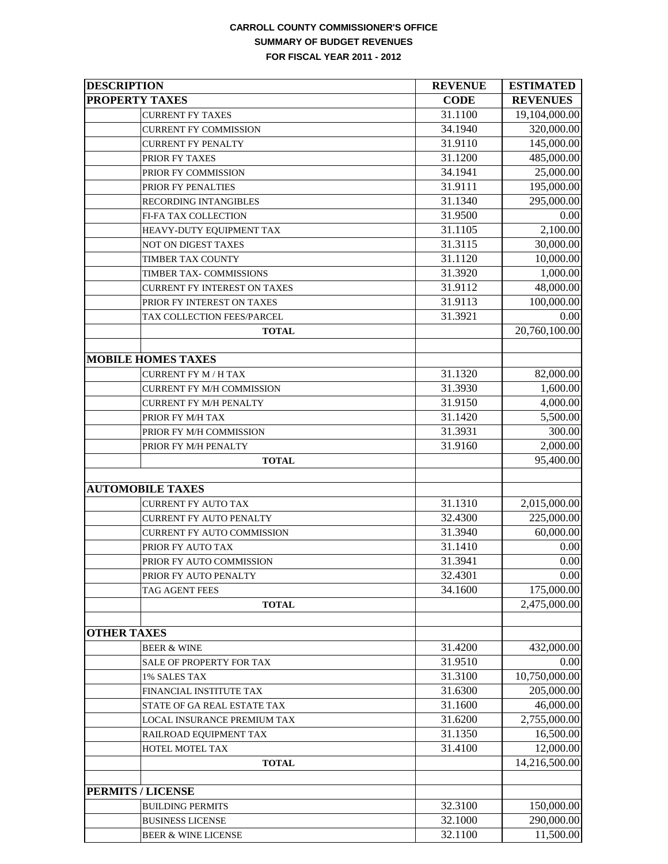#### **CARROLL COUNTY COMMISSIONER'S OFFICE SUMMARY OF BUDGET REVENUES FOR FISCAL YEAR 2011 - 2012**

| <b>DESCRIPTION</b>                  | <b>REVENUE</b> | <b>ESTIMATED</b> |
|-------------------------------------|----------------|------------------|
| <b>PROPERTY TAXES</b>               | <b>CODE</b>    | <b>REVENUES</b>  |
| <b>CURRENT FY TAXES</b>             | 31.1100        | 19,104,000.00    |
| <b>CURRENT FY COMMISSION</b>        | 34.1940        | 320,000.00       |
| <b>CURRENT FY PENALTY</b>           | 31.9110        | 145,000.00       |
| PRIOR FY TAXES                      | 31.1200        | 485,000.00       |
| PRIOR FY COMMISSION                 | 34.1941        | 25,000.00        |
| PRIOR FY PENALTIES                  | 31.9111        | 195,000.00       |
| RECORDING INTANGIBLES               | 31.1340        | 295,000.00       |
| FI-FA TAX COLLECTION                | 31.9500        | 0.00             |
| HEAVY-DUTY EQUIPMENT TAX            | 31.1105        | 2,100.00         |
| NOT ON DIGEST TAXES                 | 31.3115        | 30,000.00        |
| TIMBER TAX COUNTY                   | 31.1120        | 10,000.00        |
| TIMBER TAX- COMMISSIONS             | 31.3920        | 1,000.00         |
| <b>CURRENT FY INTEREST ON TAXES</b> | 31.9112        | 48,000.00        |
| PRIOR FY INTEREST ON TAXES          | 31.9113        | 100,000.00       |
| TAX COLLECTION FEES/PARCEL          | 31.3921        | 0.00             |
| <b>TOTAL</b>                        |                | 20,760,100.00    |
|                                     |                |                  |
| <b>MOBILE HOMES TAXES</b>           |                |                  |
| <b>CURRENT FY M / H TAX</b>         | 31.1320        | 82,000.00        |
| <b>CURRENT FY M/H COMMISSION</b>    | 31.3930        | 1,600.00         |
| <b>CURRENT FY M/H PENALTY</b>       | 31.9150        | 4,000.00         |
| PRIOR FY M/H TAX                    | 31.1420        | 5,500.00         |
| PRIOR FY M/H COMMISSION             | 31.3931        | 300.00           |
| PRIOR FY M/H PENALTY                | 31.9160        | 2,000.00         |
| <b>TOTAL</b>                        |                | 95,400.00        |
|                                     |                |                  |
| <b>AUTOMOBILE TAXES</b>             |                |                  |
| <b>CURRENT FY AUTO TAX</b>          | 31.1310        | 2,015,000.00     |
| CURRENT FY AUTO PENALTY             | 32.4300        | 225,000.00       |
| <b>CURRENT FY AUTO COMMISSION</b>   | 31.3940        | 60,000.00        |
| PRIOR FY AUTO TAX                   | 31.1410        | 0.00             |
| PRIOR FY AUTO COMMISSION            | 31.3941        | 0.00             |
| PRIOR FY AUTO PENALTY               | 32.4301        | 0.00             |
| TAG AGENT FEES                      | 34.1600        | 175,000.00       |
| <b>TOTAL</b>                        |                | 2,475,000.00     |
|                                     |                |                  |
| <b>OTHER TAXES</b>                  |                |                  |
| <b>BEER &amp; WINE</b>              | 31.4200        | 432,000.00       |
| SALE OF PROPERTY FOR TAX            | 31.9510        | 0.00             |
| 1% SALES TAX                        | 31.3100        | 10,750,000.00    |
| FINANCIAL INSTITUTE TAX             | 31.6300        | 205,000.00       |
| STATE OF GA REAL ESTATE TAX         | 31.1600        | 46,000.00        |
| LOCAL INSURANCE PREMIUM TAX         | 31.6200        | 2,755,000.00     |
| RAILROAD EQUIPMENT TAX              | 31.1350        | 16,500.00        |
| HOTEL MOTEL TAX                     | 31.4100        | 12,000.00        |
| <b>TOTAL</b>                        |                | 14,216,500.00    |
|                                     |                |                  |
| <b>PERMITS / LICENSE</b>            |                |                  |
| <b>BUILDING PERMITS</b>             | 32.3100        | 150,000.00       |
| <b>BUSINESS LICENSE</b>             | 32.1000        | 290,000.00       |
| <b>BEER &amp; WINE LICENSE</b>      | 32.1100        | 11,500.00        |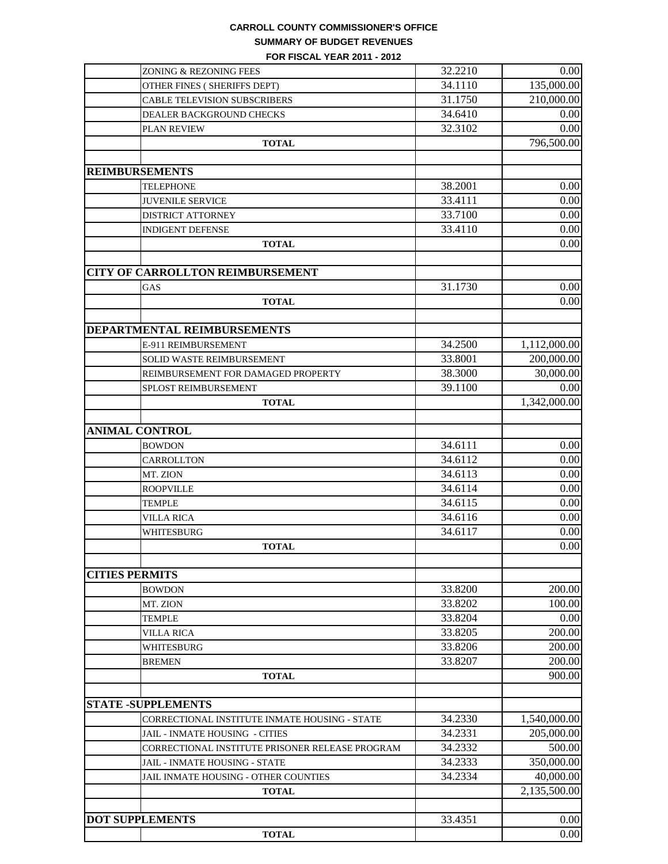#### **CARROLL COUNTY COMMISSIONER'S OFFICE SUMMARY OF BUDGET REVENUES**

**FOR FISCAL YEAR 2011 - 2012**

| ZONING & REZONING FEES                          | 32.2210 | 0.00         |
|-------------------------------------------------|---------|--------------|
| OTHER FINES (SHERIFFS DEPT)                     | 34.1110 | 135,000.00   |
| CABLE TELEVISION SUBSCRIBERS                    | 31.1750 | 210,000.00   |
| DEALER BACKGROUND CHECKS                        | 34.6410 | 0.00         |
| PLAN REVIEW                                     | 32.3102 | 0.00         |
| <b>TOTAL</b>                                    |         | 796,500.00   |
| <b>REIMBURSEMENTS</b>                           |         |              |
|                                                 |         |              |
| <b>TELEPHONE</b>                                | 38.2001 | 0.00         |
| <b>JUVENILE SERVICE</b>                         | 33.4111 | 0.00         |
| <b>DISTRICT ATTORNEY</b>                        | 33.7100 | 0.00         |
| <b>INDIGENT DEFENSE</b>                         | 33.4110 | 0.00         |
| <b>TOTAL</b>                                    |         | 0.00         |
| <b>CITY OF CARROLLTON REIMBURSEMENT</b>         |         |              |
| GAS                                             | 31.1730 | 0.00         |
| <b>TOTAL</b>                                    |         | 0.00         |
|                                                 |         |              |
| DEPARTMENTAL REIMBURSEMENTS                     |         |              |
| E-911 REIMBURSEMENT                             | 34.2500 | 1,112,000.00 |
| SOLID WASTE REIMBURSEMENT                       | 33.8001 | 200,000.00   |
| REIMBURSEMENT FOR DAMAGED PROPERTY              | 38.3000 | 30,000.00    |
|                                                 | 39.1100 | 0.00         |
| SPLOST REIMBURSEMENT                            |         | 1,342,000.00 |
| <b>TOTAL</b>                                    |         |              |
| <b>ANIMAL CONTROL</b>                           |         |              |
| <b>BOWDON</b>                                   | 34.6111 | 0.00         |
| CARROLLTON                                      | 34.6112 | 0.00         |
| MT. ZION                                        | 34.6113 | 0.00         |
| <b>ROOPVILLE</b>                                | 34.6114 | 0.00         |
| <b>TEMPLE</b>                                   | 34.6115 | 0.00         |
| <b>VILLA RICA</b>                               | 34.6116 | 0.00         |
| WHITESBURG                                      | 34.6117 | 0.00         |
| <b>TOTAL</b>                                    |         | 0.00         |
|                                                 |         |              |
| <b>CITIES PERMITS</b>                           |         |              |
| <b>BOWDON</b>                                   | 33.8200 | 200.00       |
| MT. ZION                                        | 33.8202 | 100.00       |
| <b>TEMPLE</b>                                   | 33.8204 | 0.00         |
| <b>VILLA RICA</b>                               | 33.8205 | 200.00       |
| WHITESBURG                                      | 33.8206 | 200.00       |
| <b>BREMEN</b>                                   | 33.8207 | 200.00       |
| <b>TOTAL</b>                                    |         | 900.00       |
|                                                 |         |              |
| <b>STATE -SUPPLEMENTS</b>                       |         |              |
| CORRECTIONAL INSTITUTE INMATE HOUSING - STATE   | 34.2330 | 1,540,000.00 |
| JAIL - INMATE HOUSING - CITIES                  | 34.2331 | 205,000.00   |
| CORRECTIONAL INSTITUTE PRISONER RELEASE PROGRAM | 34.2332 | 500.00       |
| JAIL - INMATE HOUSING - STATE                   | 34.2333 | 350,000.00   |
| JAIL INMATE HOUSING - OTHER COUNTIES            | 34.2334 | 40,000.00    |
| <b>TOTAL</b>                                    |         | 2,135,500.00 |
|                                                 |         |              |
| <b>DOT SUPPLEMENTS</b>                          | 33.4351 | 0.00         |
| <b>TOTAL</b>                                    |         | 0.00         |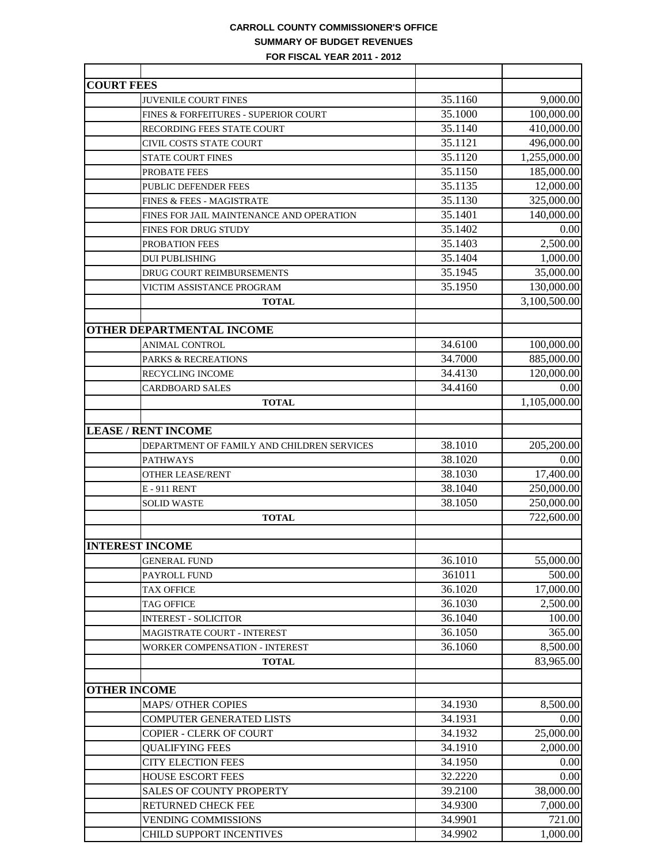### **CARROLL COUNTY COMMISSIONER'S OFFICE SUMMARY OF BUDGET REVENUES**

**FOR FISCAL YEAR 2011 - 2012**

| <b>COURT FEES</b>                          |         |              |
|--------------------------------------------|---------|--------------|
| <b>JUVENILE COURT FINES</b>                | 35.1160 | 9,000.00     |
| FINES & FORFEITURES - SUPERIOR COURT       | 35.1000 | 100,000.00   |
| RECORDING FEES STATE COURT                 | 35.1140 | 410,000.00   |
| CIVIL COSTS STATE COURT                    | 35.1121 | 496,000.00   |
| <b>STATE COURT FINES</b>                   | 35.1120 | 1,255,000.00 |
| PROBATE FEES                               | 35.1150 | 185,000.00   |
| PUBLIC DEFENDER FEES                       | 35.1135 | 12,000.00    |
| FINES & FEES - MAGISTRATE                  | 35.1130 | 325,000.00   |
| FINES FOR JAIL MAINTENANCE AND OPERATION   | 35.1401 | 140,000.00   |
| <b>FINES FOR DRUG STUDY</b>                | 35.1402 | 0.00         |
| PROBATION FEES                             | 35.1403 | 2,500.00     |
| <b>DUI PUBLISHING</b>                      | 35.1404 | 1,000.00     |
| DRUG COURT REIMBURSEMENTS                  | 35.1945 | 35,000.00    |
| VICTIM ASSISTANCE PROGRAM                  | 35.1950 | 130,000.00   |
| <b>TOTAL</b>                               |         | 3,100,500.00 |
|                                            |         |              |
| <b>OTHER DEPARTMENTAL INCOME</b>           |         |              |
| <b>ANIMAL CONTROL</b>                      | 34.6100 | 100,000.00   |
| <b>PARKS &amp; RECREATIONS</b>             | 34.7000 | 885,000.00   |
| RECYCLING INCOME                           | 34.4130 | 120,000.00   |
| <b>CARDBOARD SALES</b>                     | 34.4160 | 0.00         |
| <b>TOTAL</b>                               |         | 1,105,000.00 |
|                                            |         |              |
| <b>LEASE / RENT INCOME</b>                 |         |              |
| DEPARTMENT OF FAMILY AND CHILDREN SERVICES | 38.1010 | 205,200.00   |
| <b>PATHWAYS</b>                            | 38.1020 | 0.00         |
| <b>OTHER LEASE/RENT</b>                    | 38.1030 | 17,400.00    |
| <b>E-911 RENT</b>                          | 38.1040 | 250,000.00   |
| <b>SOLID WASTE</b>                         | 38.1050 | 250,000.00   |
| <b>TOTAL</b>                               |         | 722,600.00   |
|                                            |         |              |
| <b>INTEREST INCOME</b>                     |         |              |
| <b>GENERAL FUND</b>                        | 36.1010 | 55,000.00    |
| PAYROLL FUND                               | 361011  | 500.00       |
| <b>TAX OFFICE</b>                          | 36.1020 | 17,000.00    |
| <b>TAG OFFICE</b>                          | 36.1030 | 2,500.00     |
| <b>INTEREST - SOLICITOR</b>                | 36.1040 | 100.00       |
| MAGISTRATE COURT - INTEREST                | 36.1050 | 365.00       |
| WORKER COMPENSATION - INTEREST             | 36.1060 | 8,500.00     |
| <b>TOTAL</b>                               |         | 83,965.00    |
|                                            |         |              |
| <b>OTHER INCOME</b>                        |         |              |
| <b>MAPS/ OTHER COPIES</b>                  | 34.1930 | 8,500.00     |
| <b>COMPUTER GENERATED LISTS</b>            | 34.1931 | 0.00         |
| <b>COPIER - CLERK OF COURT</b>             | 34.1932 | 25,000.00    |
| <b>QUALIFYING FEES</b>                     | 34.1910 | 2,000.00     |
| <b>CITY ELECTION FEES</b>                  | 34.1950 | 0.00         |
| <b>HOUSE ESCORT FEES</b>                   | 32.2220 | 0.00         |
| <b>SALES OF COUNTY PROPERTY</b>            | 39.2100 | 38,000.00    |
| <b>RETURNED CHECK FEE</b>                  | 34.9300 | 7,000.00     |
| <b>VENDING COMMISSIONS</b>                 | 34.9901 | 721.00       |
| CHILD SUPPORT INCENTIVES                   | 34.9902 | 1,000.00     |